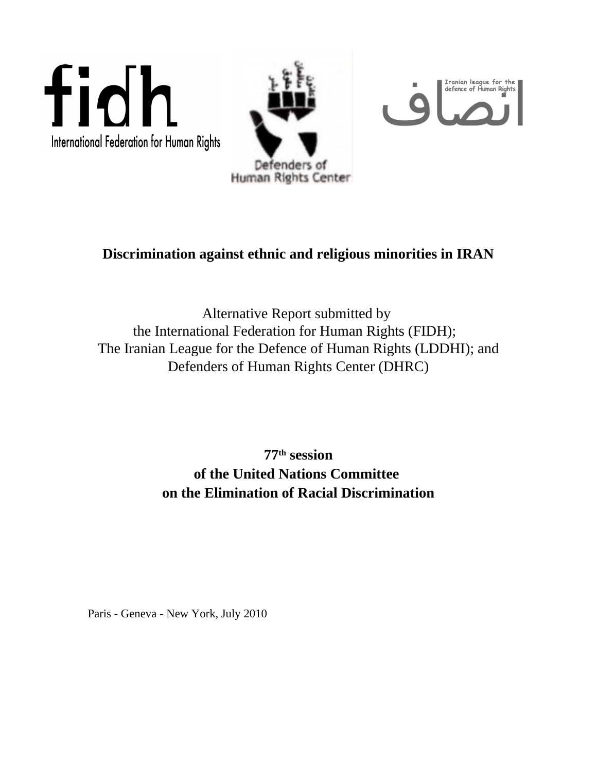





# **Discrimination against ethnic and religious minorities in IRAN**

Alternative Report submitted by the International Federation for Human Rights (FIDH); The Iranian League for the Defence of Human Rights (LDDHI); and Defenders of Human Rights Center (DHRC)

**77th session**

**of the United Nations Committee on the Elimination of Racial Discrimination**

Paris - Geneva - New York, July 2010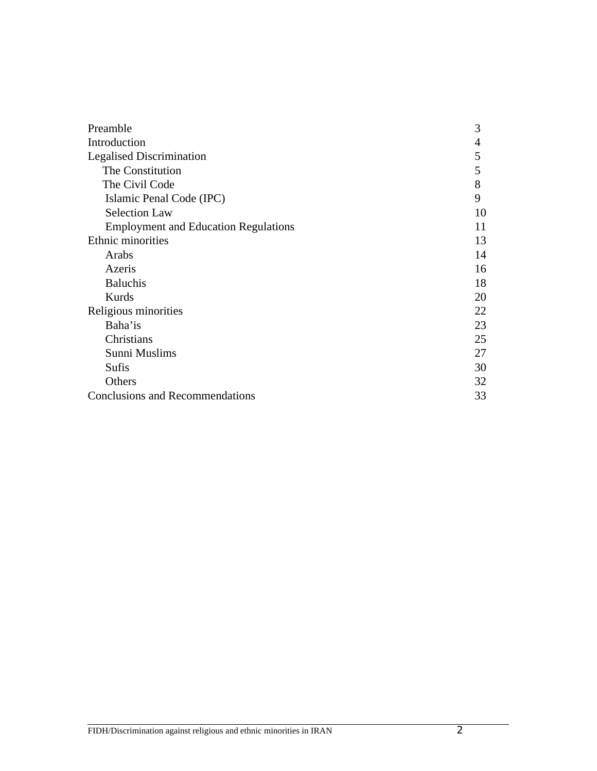| Preamble                                    | 3  |
|---------------------------------------------|----|
| Introduction                                | 4  |
| <b>Legalised Discrimination</b>             | 5  |
| The Constitution                            | 5  |
| The Civil Code                              | 8  |
| Islamic Penal Code (IPC)                    | 9  |
| <b>Selection Law</b>                        | 10 |
| <b>Employment and Education Regulations</b> | 11 |
| Ethnic minorities                           | 13 |
| Arabs                                       | 14 |
| Azeris                                      | 16 |
| <b>Baluchis</b>                             | 18 |
| Kurds                                       | 20 |
| Religious minorities                        | 22 |
| Baha'is                                     | 23 |
| Christians                                  | 25 |
| Sunni Muslims                               | 27 |
| Sufis                                       | 30 |
| Others                                      | 32 |
| <b>Conclusions and Recommendations</b>      | 33 |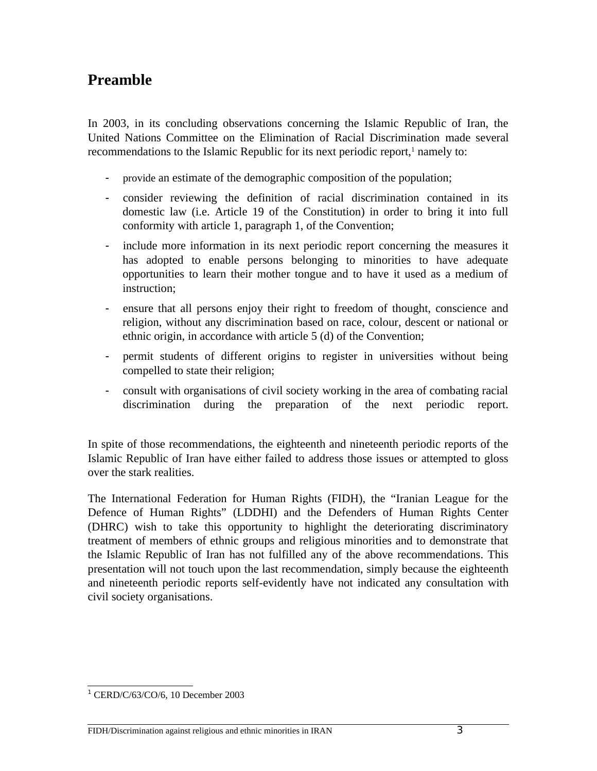# **Preamble**

In 2003, in its concluding observations concerning the Islamic Republic of Iran, the United Nations Committee on the Elimination of Racial Discrimination made several recommendations to the Islamic Republic for its next periodic report,<sup>[1](#page-2-0)</sup> namely to:

- provide an estimate of the demographic composition of the population;
- consider reviewing the definition of racial discrimination contained in its domestic law (i.e. Article 19 of the Constitution) in order to bring it into full conformity with article 1, paragraph 1, of the Convention;
- include more information in its next periodic report concerning the measures it has adopted to enable persons belonging to minorities to have adequate opportunities to learn their mother tongue and to have it used as a medium of instruction;
- ensure that all persons enjoy their right to freedom of thought, conscience and religion, without any discrimination based on race, colour, descent or national or ethnic origin, in accordance with article 5 (d) of the Convention;
- permit students of different origins to register in universities without being compelled to state their religion;
- consult with organisations of civil society working in the area of combating racial discrimination during the preparation of the next periodic report.

In spite of those recommendations, the eighteenth and nineteenth periodic reports of the Islamic Republic of Iran have either failed to address those issues or attempted to gloss over the stark realities.

The International Federation for Human Rights (FIDH), the "Iranian League for the Defence of Human Rights" (LDDHI) and the Defenders of Human Rights Center (DHRC) wish to take this opportunity to highlight the deteriorating discriminatory treatment of members of ethnic groups and religious minorities and to demonstrate that the Islamic Republic of Iran has not fulfilled any of the above recommendations. This presentation will not touch upon the last recommendation, simply because the eighteenth and nineteenth periodic reports self-evidently have not indicated any consultation with civil society organisations.

<span id="page-2-0"></span><sup>1</sup> CERD/C/63/CO/6, 10 December 2003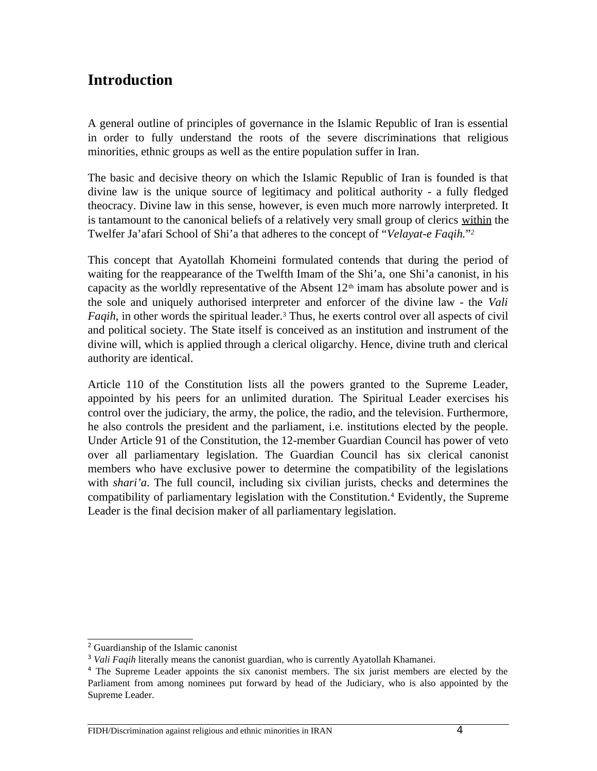## **Introduction**

A general outline of principles of governance in the Islamic Republic of Iran is essential in order to fully understand the roots of the severe discriminations that religious minorities, ethnic groups as well as the entire population suffer in Iran.

The basic and decisive theory on which the Islamic Republic of Iran is founded is that divine law is the unique source of legitimacy and political authority - a fully fledged theocracy. Divine law in this sense, however, is even much more narrowly interpreted. It is tantamount to the canonical beliefs of a relatively very small group of clerics within the Twelfer Ja'afari School of Shi'a that adheres to the concept of "*Velayat-e Faqih.*" *[2](#page-3-0)*

This concept that Ayatollah Khomeini formulated contends that during the period of waiting for the reappearance of the Twelfth Imam of the Shi'a, one Shi'a canonist, in his capacity as the worldly representative of the Absent  $12<sup>th</sup>$  imam has absolute power and is the sole and uniquely authorised interpreter and enforcer of the divine law - the *Vali* Faqih, in other words the spiritual leader.<sup>[3](#page-3-1)</sup> Thus, he exerts control over all aspects of civil and political society. The State itself is conceived as an institution and instrument of the divine will, which is applied through a clerical oligarchy. Hence, divine truth and clerical authority are identical.

Article 110 of the Constitution lists all the powers granted to the Supreme Leader, appointed by his peers for an unlimited duration. The Spiritual Leader exercises his control over the judiciary, the army, the police, the radio, and the television. Furthermore, he also controls the president and the parliament, i.e. institutions elected by the people. Under Article 91 of the Constitution, the 12-member Guardian Council has power of veto over all parliamentary legislation. The Guardian Council has six clerical canonist members who have exclusive power to determine the compatibility of the legislations with *shari'a*. The full council, including six civilian jurists, checks and determines the compatibility of parliamentary legislation with the Constitution.<sup>[4](#page-3-2)</sup> Evidently, the Supreme Leader is the final decision maker of all parliamentary legislation.

<span id="page-3-0"></span><sup>&</sup>lt;sup>2</sup> Guardianship of the Islamic canonist

<span id="page-3-1"></span><sup>&</sup>lt;sup>3</sup> Vali Faqih literally means the canonist guardian, who is currently Ayatollah Khamanei.

<span id="page-3-2"></span><sup>&</sup>lt;sup>4</sup> The Supreme Leader appoints the six canonist members. The six jurist members are elected by the Parliament from among nominees put forward by head of the Judiciary, who is also appointed by the Supreme Leader.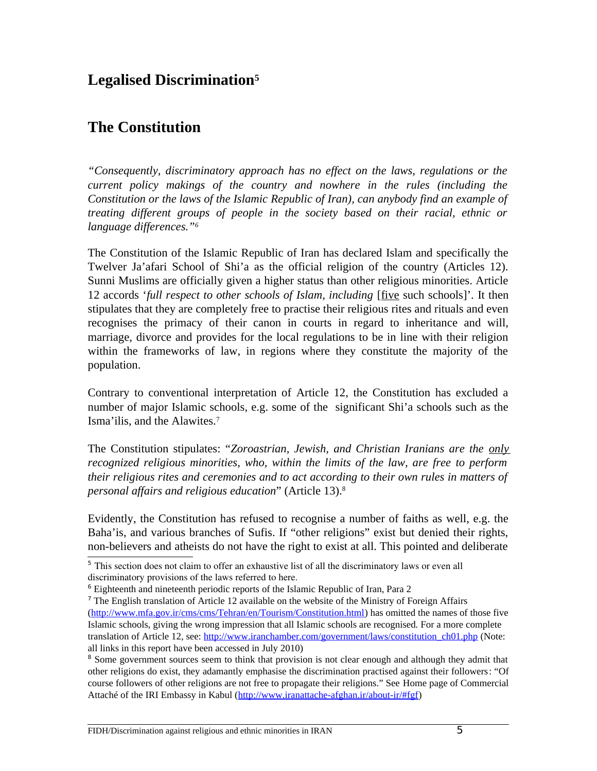### **Legalised Discrimination[5](#page-4-0)**

### **The Constitution**

*"Consequently, discriminatory approach has no effect on the laws, regulations or the current policy makings of the country and nowhere in the rules (including the Constitution or the laws of the Islamic Republic of Iran), can anybody find an example of treating different groups of people in the society based on their racial, ethnic or language differences."[6](#page-4-1)*

The Constitution of the Islamic Republic of Iran has declared Islam and specifically the Twelver Ja'afari School of Shi'a as the official religion of the country (Articles 12). Sunni Muslims are officially given a higher status than other religious minorities. Article 12 accords 'full respect to other schools of Islam, including [five such schools]'. It then stipulates that they are completely free to practise their religious rites and rituals and even recognises the primacy of their canon in courts in regard to inheritance and will, marriage, divorce and provides for the local regulations to be in line with their religion within the frameworks of law, in regions where they constitute the majority of the population.

Contrary to conventional interpretation of Article 12, the Constitution has excluded a number of major Islamic schools, e.g. some of the significant Shi'a schools such as the Isma'ilis, and the Alawites.[7](#page-4-2)

The Constitution stipulates: "*Zoroastrian, Jewish, and Christian Iranians are the only recognized religious minorities, who, within the limits of the law, are free to perform their religious rites and ceremonies and to act according to their own rules in matters of personal affairs and religious education*" (Article 13).[8](#page-4-3)

Evidently, the Constitution has refused to recognise a number of faiths as well, e.g. the Baha'is, and various branches of Sufis. If "other religions" exist but denied their rights, non-believers and atheists do not have the right to exist at all. This pointed and deliberate

<span id="page-4-0"></span><sup>&</sup>lt;sup>5</sup> This section does not claim to offer an exhaustive list of all the discriminatory laws or even all discriminatory provisions of the laws referred to here.

<span id="page-4-1"></span><sup>&</sup>lt;sup>6</sup> Eighteenth and nineteenth periodic reports of the Islamic Republic of Iran, Para 2

<span id="page-4-2"></span><sup>&</sup>lt;sup>7</sup> The English translation of Article 12 available on the website of the Ministry of Foreign Affairs [\(http://www.mfa.gov.ir/cms/cms/Tehran/en/Tourism/Constitution.html\)](http://www.mfa.gov.ir/cms/cms/Tehran/en/Tourism/Constitution.html) has omitted the names of those five Islamic schools, giving the wrong impression that all Islamic schools are recognised. For a more complete translation of Article 12, see: [http://www.iranchamber.com/government/laws/constitution\\_ch01.php](http://www.iranchamber.com/government/laws/constitution_ch01.php) (Note: all links in this report have been accessed in July 2010)

<span id="page-4-3"></span><sup>&</sup>lt;sup>8</sup> Some government sources seem to think that provision is not clear enough and although they admit that other religions do exist, they adamantly emphasise the discrimination practised against their followers: "Of course followers of other religions are not free to propagate their religions." See Home page of Commercial Attaché of the IRI Embassy in Kabul [\(http://www.iranattache-afghan.ir/about-ir/#fgf\)](http://www.iranattache-afghan.ir/about-ir/#fgf)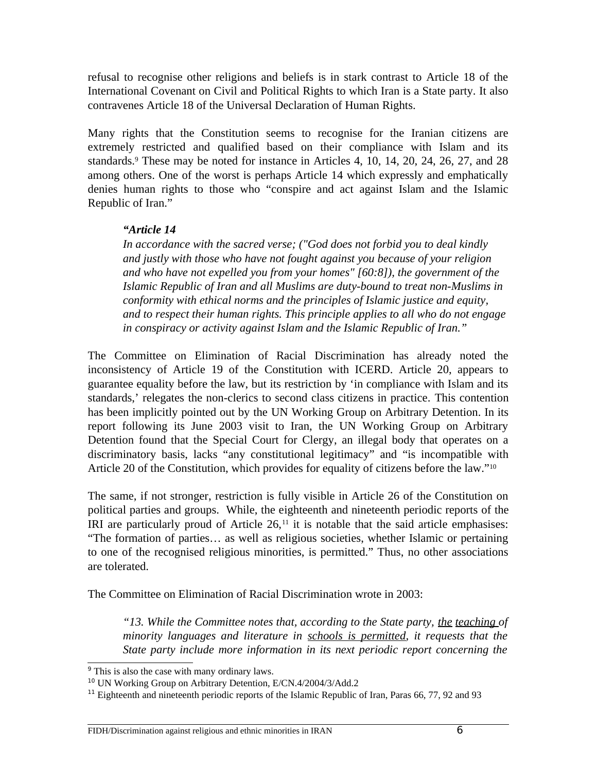refusal to recognise other religions and beliefs is in stark contrast to Article 18 of the International Covenant on Civil and Political Rights to which Iran is a State party. It also contravenes Article 18 of the Universal Declaration of Human Rights.

Many rights that the Constitution seems to recognise for the Iranian citizens are extremely restricted and qualified based on their compliance with Islam and its standards.<sup>[9](#page-5-0)</sup> These may be noted for instance in Articles 4, 10, 14, 20, 24, 26, 27, and 28 among others. One of the worst is perhaps Article 14 which expressly and emphatically denies human rights to those who "conspire and act against Islam and the Islamic Republic of Iran."

#### *"Article 14*

*In accordance with the sacred verse; ("God does not forbid you to deal kindly and justly with those who have not fought against you because of your religion and who have not expelled you from your homes" [60:8]), the government of the Islamic Republic of Iran and all Muslims are duty-bound to treat non-Muslims in conformity with ethical norms and the principles of Islamic justice and equity, and to respect their human rights. This principle applies to all who do not engage in conspiracy or activity against Islam and the Islamic Republic of Iran."*

The Committee on Elimination of Racial Discrimination has already noted the inconsistency of Article 19 of the Constitution with ICERD. Article 20, appears to guarantee equality before the law, but its restriction by 'in compliance with Islam and its standards,' relegates the non-clerics to second class citizens in practice. This contention has been implicitly pointed out by the UN Working Group on Arbitrary Detention. In its report following its June 2003 visit to Iran, the UN Working Group on Arbitrary Detention found that the Special Court for Clergy, an illegal body that operates on a discriminatory basis, lacks "any constitutional legitimacy" and "is incompatible with Article 20 of the Constitution, which provides for equality of citizens before the law."[10](#page-5-1)

The same, if not stronger, restriction is fully visible in Article 26 of the Constitution on political parties and groups. While, the eighteenth and nineteenth periodic reports of the IRI are particularly proud of Article  $26$ ,<sup> $11$ </sup> it is notable that the said article emphasises: "The formation of parties… as well as religious societies, whether Islamic or pertaining to one of the recognised religious minorities, is permitted." Thus, no other associations are tolerated.

The Committee on Elimination of Racial Discrimination wrote in 2003:

*"13. While the Committee notes that, according to the State party, the teaching of minority languages and literature in schools is permitted, it requests that the State party include more information in its next periodic report concerning the*

<span id="page-5-0"></span><sup>&</sup>lt;sup>9</sup> This is also the case with many ordinary laws.

<span id="page-5-1"></span><sup>10</sup> UN Working Group on Arbitrary Detention, E/CN.4/2004/3/Add.2

<span id="page-5-2"></span> $11$  Eighteenth and nineteenth periodic reports of the Islamic Republic of Iran, Paras 66, 77, 92 and 93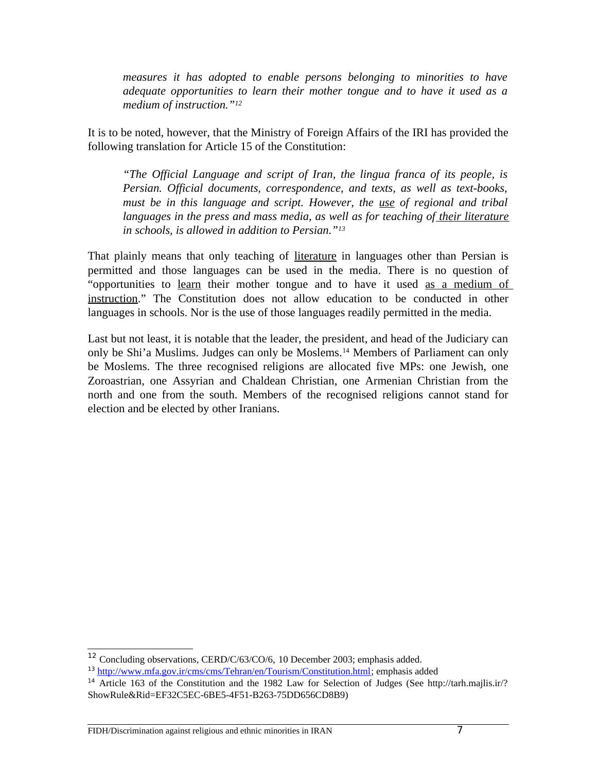*measures it has adopted to enable persons belonging to minorities to have adequate opportunities to learn their mother tongue and to have it used as a medium of instruction."[12](#page-6-0)*

It is to be noted, however, that the Ministry of Foreign Affairs of the IRI has provided the following translation for Article 15 of the Constitution:

*"The Official Language and script of Iran, the lingua franca of its people, is Persian. Official documents, correspondence, and texts, as well as text-books, must be in this language and script. However, the use of regional and tribal languages in the press and mass media, as well as for teaching of their literature in schools, is allowed in addition to Persian."[13](#page-6-1)*

That plainly means that only teaching of literature in languages other than Persian is permitted and those languages can be used in the media. There is no question of "opportunities to learn their mother tongue and to have it used as a medium of instruction." The Constitution does not allow education to be conducted in other languages in schools. Nor is the use of those languages readily permitted in the media.

Last but not least, it is notable that the leader, the president, and head of the Judiciary can only be Shi'a Muslims. Judges can only be Moslems.[14](#page-6-2) Members of Parliament can only be Moslems. The three recognised religions are allocated five MPs: one Jewish, one Zoroastrian, one Assyrian and Chaldean Christian, one Armenian Christian from the north and one from the south. Members of the recognised religions cannot stand for election and be elected by other Iranians.

<span id="page-6-0"></span><sup>12</sup> Concluding observations, CERD/C/63/CO/6, 10 December 2003; emphasis added.

<span id="page-6-1"></span><sup>13</sup> [http://www.mfa.gov.ir/cms/cms/Tehran/en/Tourism/Constitution.html;](http://www.mfa.gov.ir/cms/cms/Tehran/en/Tourism/Constitution.html) emphasis added

<span id="page-6-2"></span><sup>&</sup>lt;sup>14</sup> Article 163 of the Constitution and the 1982 Law for Selection of Judges (See http://tarh.majlis.ir/? ShowRule&Rid=EF32C5EC-6BE5-4F51-B263-75DD656CD8B9)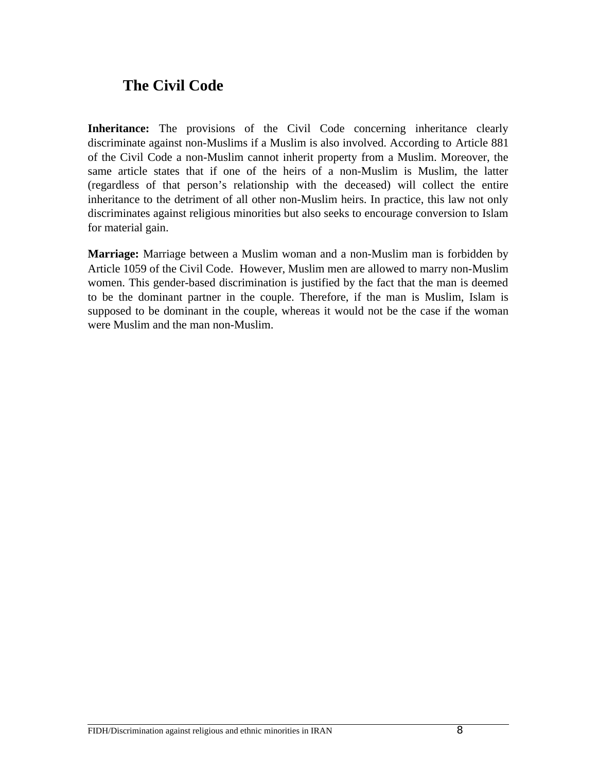### **The Civil Code**

Inheritance: The provisions of the Civil Code concerning inheritance clearly discriminate against non-Muslims if a Muslim is also involved. According to Article 881 of the Civil Code a non-Muslim cannot inherit property from a Muslim. Moreover, the same article states that if one of the heirs of a non-Muslim is Muslim, the latter (regardless of that person's relationship with the deceased) will collect the entire inheritance to the detriment of all other non-Muslim heirs. In practice, this law not only discriminates against religious minorities but also seeks to encourage conversion to Islam for material gain.

**Marriage:** Marriage between a Muslim woman and a non-Muslim man is forbidden by Article 1059 of the Civil Code. However, Muslim men are allowed to marry non-Muslim women. This gender-based discrimination is justified by the fact that the man is deemed to be the dominant partner in the couple. Therefore, if the man is Muslim, Islam is supposed to be dominant in the couple, whereas it would not be the case if the woman were Muslim and the man non-Muslim.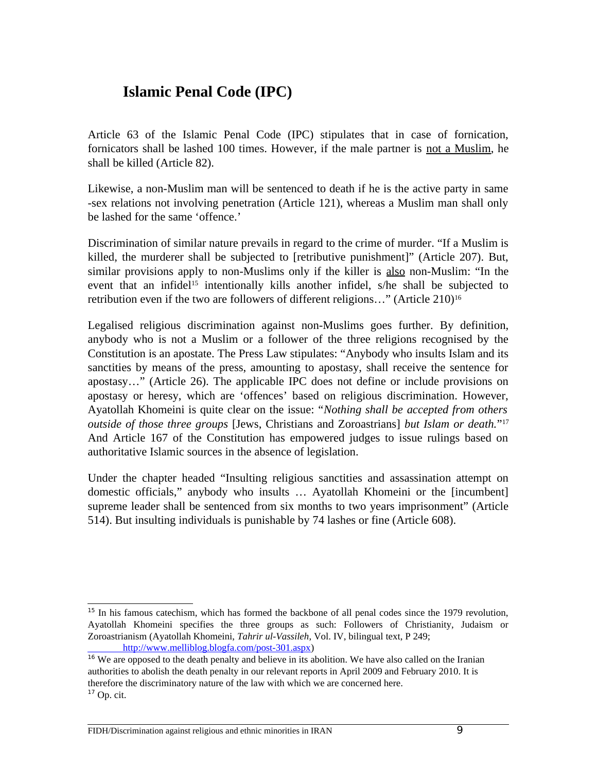# **Islamic Penal Code (IPC)**

Article 63 of the Islamic Penal Code (IPC) stipulates that in case of fornication, fornicators shall be lashed 100 times. However, if the male partner is not a Muslim, he shall be killed (Article 82).

Likewise, a non-Muslim man will be sentenced to death if he is the active party in same -sex relations not involving penetration (Article 121), whereas a Muslim man shall only be lashed for the same 'offence.'

Discrimination of similar nature prevails in regard to the crime of murder. "If a Muslim is killed, the murderer shall be subjected to [retributive punishment]" (Article 207). But, similar provisions apply to non-Muslims only if the killer is also non-Muslim: "In the event that an infidel<sup>[15](#page-8-0)</sup> intentionally kills another infidel, s/he shall be subjected to retribution even if the two are followers of different religions..." (Article 210)<sup>[16](#page-8-1)</sup>

Legalised religious discrimination against non-Muslims goes further. By definition, anybody who is not a Muslim or a follower of the three religions recognised by the Constitution is an apostate. The Press Law stipulates: "Anybody who insults Islam and its sanctities by means of the press, amounting to apostasy, shall receive the sentence for apostasy…" (Article 26). The applicable IPC does not define or include provisions on apostasy or heresy, which are 'offences' based on religious discrimination. However, Ayatollah Khomeini is quite clear on the issue: "*Nothing shall be accepted from others outside of those three groups* [Jews, Christians and Zoroastrians] *but Islam or death.*" [17](#page-8-2) And Article 167 of the Constitution has empowered judges to issue rulings based on authoritative Islamic sources in the absence of legislation.

Under the chapter headed "Insulting religious sanctities and assassination attempt on domestic officials," anybody who insults … Ayatollah Khomeini or the [incumbent] supreme leader shall be sentenced from six months to two years imprisonment" (Article 514). But insulting individuals is punishable by 74 lashes or fine (Article 608).

<span id="page-8-0"></span><sup>&</sup>lt;sup>15</sup> In his famous catechism, which has formed the backbone of all penal codes since the 1979 revolution, Ayatollah Khomeini specifies the three groups as such: Followers of Christianity, Judaism or Zoroastrianism (Ayatollah Khomeini, *Tahrir ul-Vassileh*, Vol. IV, bilingual text, P 249;

[http://www.melliblog.blogfa.com/post-301.aspx\)](http://www.melliblog.blogfa.com/post-301.aspx)

<span id="page-8-2"></span><span id="page-8-1"></span><sup>&</sup>lt;sup>16</sup> We are opposed to the death penalty and believe in its abolition. We have also called on the Iranian authorities to abolish the death penalty in our relevant reports in April 2009 and February 2010. It is therefore the discriminatory nature of the law with which we are concerned here.  $17$  Op. cit.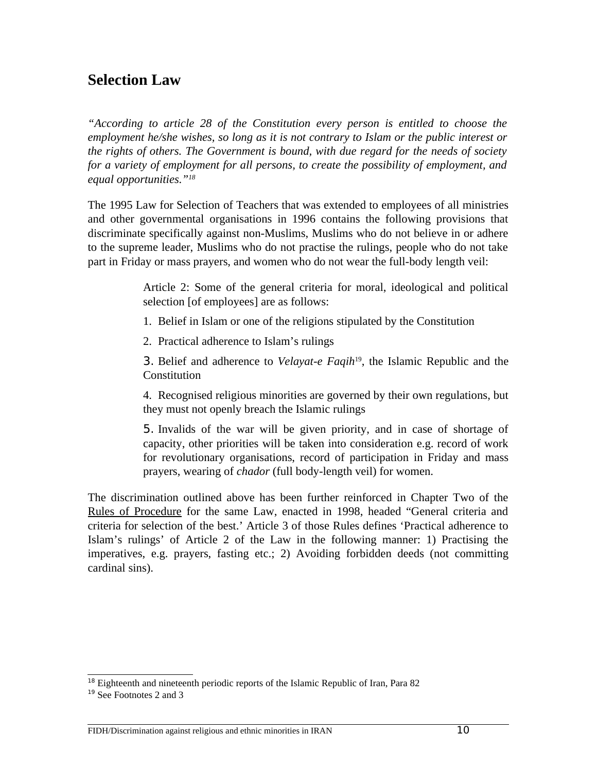### **Selection Law**

*"According to article 28 of the Constitution every person is entitled to choose the employment he/she wishes, so long as it is not contrary to Islam or the public interest or the rights of others. The Government is bound, with due regard for the needs of society for a variety of employment for all persons, to create the possibility of employment, and equal opportunities."[18](#page-9-0)*

The 1995 Law for Selection of Teachers that was extended to employees of all ministries and other governmental organisations in 1996 contains the following provisions that discriminate specifically against non-Muslims, Muslims who do not believe in or adhere to the supreme leader, Muslims who do not practise the rulings, people who do not take part in Friday or mass prayers, and women who do not wear the full-body length veil:

> Article 2: Some of the general criteria for moral, ideological and political selection [of employees] are as follows:

1. Belief in Islam or one of the religions stipulated by the Constitution

2. Practical adherence to Islam's rulings

3. Belief and adherence to *Velayat-e Faqih*[19](#page-9-1), the Islamic Republic and the **Constitution** 

4. Recognised religious minorities are governed by their own regulations, but they must not openly breach the Islamic rulings

5. Invalids of the war will be given priority, and in case of shortage of capacity, other priorities will be taken into consideration e.g. record of work for revolutionary organisations, record of participation in Friday and mass prayers, wearing of *chador* (full body-length veil) for women.

The discrimination outlined above has been further reinforced in Chapter Two of the Rules of Procedure for the same Law, enacted in 1998, headed "General criteria and criteria for selection of the best.' Article 3 of those Rules defines 'Practical adherence to Islam's rulings' of Article 2 of the Law in the following manner: 1) Practising the imperatives, e.g. prayers, fasting etc.; 2) Avoiding forbidden deeds (not committing cardinal sins).

<span id="page-9-0"></span><sup>&</sup>lt;sup>18</sup> Eighteenth and nineteenth periodic reports of the Islamic Republic of Iran, Para 82

<span id="page-9-1"></span><sup>&</sup>lt;sup>19</sup> See Footnotes 2 and 3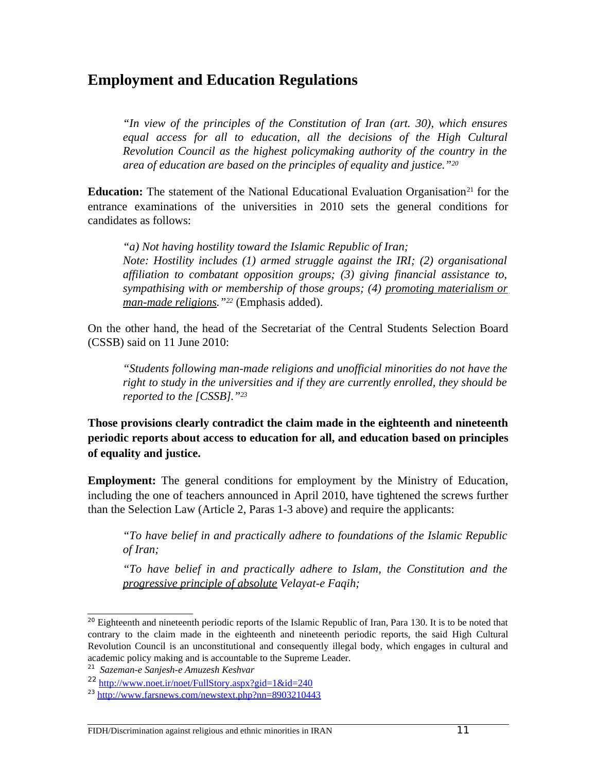### **Employment and Education Regulations**

*"In view of the principles of the Constitution of Iran (art. 30), which ensures equal access for all to education, all the decisions of the High Cultural Revolution Council as the highest policymaking authority of the country in the area of education are based on the principles of equality and justice."[20](#page-10-0)*

**Education:** The statement of the National Educational Evaluation Organisation<sup>[21](#page-10-1)</sup> for the entrance examinations of the universities in 2010 sets the general conditions for candidates as follows:

*"a) Not having hostility toward the Islamic Republic of Iran; Note: Hostility includes (1) armed struggle against the IRI; (2) organisational affiliation to combatant opposition groups; (3) giving financial assistance to, sympathising with or membership of those groups; (4) promoting materialism or man-made religions."[22](#page-10-2)* (Emphasis added).

On the other hand, the head of the Secretariat of the Central Students Selection Board (CSSB) said on 11 June 2010:

*"Students following man-made religions and unofficial minorities do not have the right to study in the universities and if they are currently enrolled, they should be reported to the [CSSB]."[23](#page-10-3)*

**Those provisions clearly contradict the claim made in the eighteenth and nineteenth periodic reports about access to education for all, and education based on principles of equality and justice.** 

**Employment:** The general conditions for employment by the Ministry of Education, including the one of teachers announced in April 2010, have tightened the screws further than the Selection Law (Article 2, Paras 1-3 above) and require the applicants:

*"To have belief in and practically adhere to foundations of the Islamic Republic of Iran;*

*"To have belief in and practically adhere to Islam, the Constitution and the progressive principle of absolute Velayat-e Faqih;*

<span id="page-10-0"></span><sup>&</sup>lt;sup>20</sup> Eighteenth and nineteenth periodic reports of the Islamic Republic of Iran, Para 130. It is to be noted that contrary to the claim made in the eighteenth and nineteenth periodic reports, the said High Cultural Revolution Council is an unconstitutional and consequently illegal body, which engages in cultural and academic policy making and is accountable to the Supreme Leader.

<span id="page-10-1"></span><sup>21</sup> *Sazeman-e Sanjesh-e Amuzesh Keshvar*

<span id="page-10-2"></span><sup>22</sup> <http://www.noet.ir/noet/FullStory.aspx?gid=1&id=240>

<span id="page-10-3"></span><sup>&</sup>lt;sup>23</sup> <http://www.farsnews.com/newstext.php?nn=8903210443>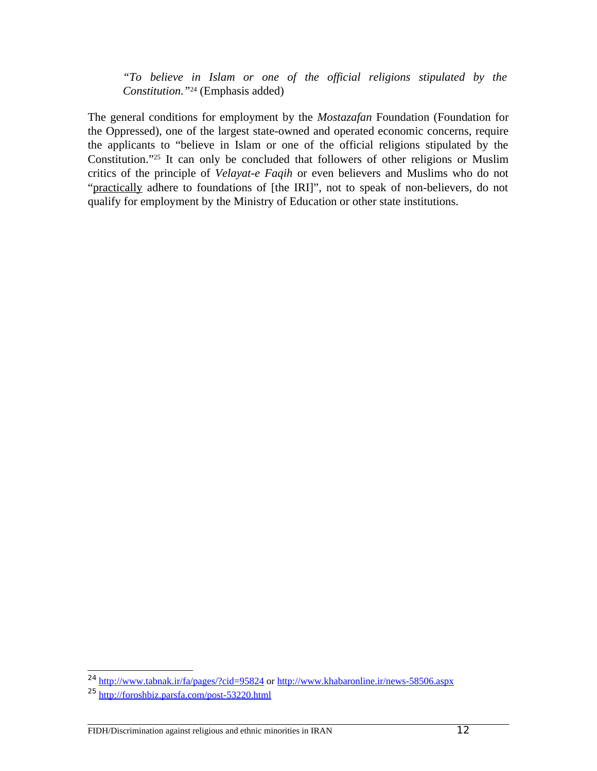*"To believe in Islam or one of the official religions stipulated by the Constitution."*[24](#page-11-0) (Emphasis added)

The general conditions for employment by the *Mostazafan* Foundation (Foundation for the Oppressed), one of the largest state-owned and operated economic concerns, require the applicants to "believe in Islam or one of the official religions stipulated by the Constitution."[25](#page-11-1) It can only be concluded that followers of other religions or Muslim critics of the principle of *Velayat-e Faqih* or even believers and Muslims who do not "practically adhere to foundations of [the IRI]", not to speak of non-believers, do not qualify for employment by the Ministry of Education or other state institutions.

<span id="page-11-0"></span><sup>24</sup> <http://www.tabnak.ir/fa/pages/?cid=95824>or<http://www.khabaronline.ir/news-58506.aspx>

<span id="page-11-1"></span><sup>25</sup> <http://foroshbiz.parsfa.com/post-53220.html>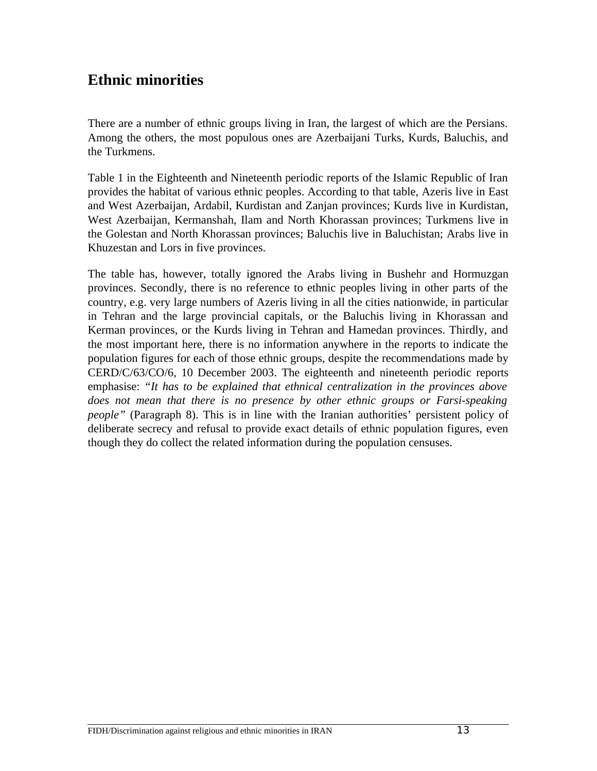# **Ethnic minorities**

There are a number of ethnic groups living in Iran, the largest of which are the Persians. Among the others, the most populous ones are Azerbaijani Turks, Kurds, Baluchis, and the Turkmens.

Table 1 in the Eighteenth and Nineteenth periodic reports of the Islamic Republic of Iran provides the habitat of various ethnic peoples. According to that table, Azeris live in East and West Azerbaijan, Ardabil, Kurdistan and Zanjan provinces; Kurds live in Kurdistan, West Azerbaijan, Kermanshah, Ilam and North Khorassan provinces; Turkmens live in the Golestan and North Khorassan provinces; Baluchis live in Baluchistan; Arabs live in Khuzestan and Lors in five provinces.

The table has, however, totally ignored the Arabs living in Bushehr and Hormuzgan provinces. Secondly, there is no reference to ethnic peoples living in other parts of the country, e.g. very large numbers of Azeris living in all the cities nationwide, in particular in Tehran and the large provincial capitals, or the Baluchis living in Khorassan and Kerman provinces, or the Kurds living in Tehran and Hamedan provinces. Thirdly, and the most important here, there is no information anywhere in the reports to indicate the population figures for each of those ethnic groups, despite the recommendations made by CERD/C/63/CO/6, 10 December 2003. The eighteenth and nineteenth periodic reports emphasise: *"It has to be explained that ethnical centralization in the provinces above does not mean that there is no presence by other ethnic groups or Farsi-speaking people"* (Paragraph 8). This is in line with the Iranian authorities' persistent policy of deliberate secrecy and refusal to provide exact details of ethnic population figures, even though they do collect the related information during the population censuses.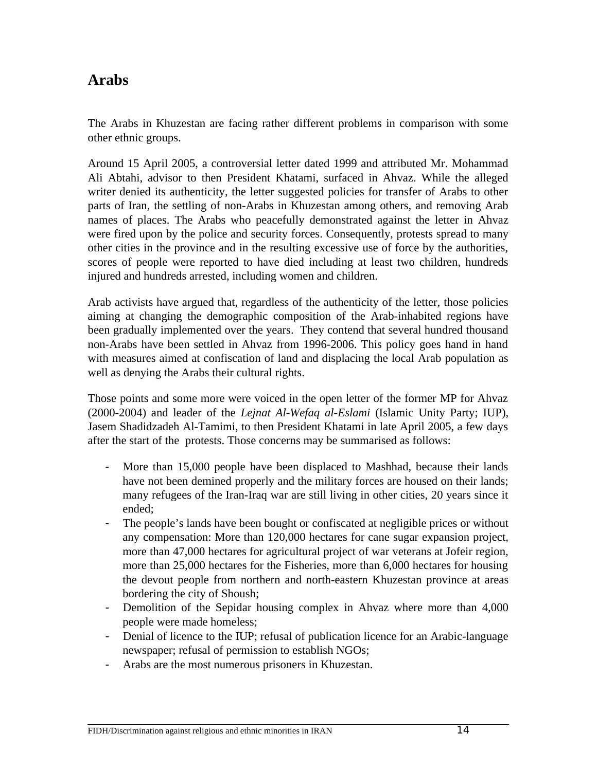# **Arabs**

The Arabs in Khuzestan are facing rather different problems in comparison with some other ethnic groups.

Around 15 April 2005, a controversial letter dated 1999 and attributed Mr. Mohammad Ali Abtahi, advisor to then President Khatami, surfaced in Ahvaz. While the alleged writer denied its authenticity, the letter suggested policies for transfer of Arabs to other parts of Iran, the settling of non-Arabs in Khuzestan among others, and removing Arab names of places. The Arabs who peacefully demonstrated against the letter in Ahvaz were fired upon by the police and security forces. Consequently, protests spread to many other cities in the province and in the resulting excessive use of force by the authorities, scores of people were reported to have died including at least two children, hundreds injured and hundreds arrested, including women and children.

Arab activists have argued that, regardless of the authenticity of the letter, those policies aiming at changing the demographic composition of the Arab-inhabited regions have been gradually implemented over the years. They contend that several hundred thousand non-Arabs have been settled in Ahvaz from 1996-2006. This policy goes hand in hand with measures aimed at confiscation of land and displacing the local Arab population as well as denying the Arabs their cultural rights.

Those points and some more were voiced in the open letter of the former MP for Ahvaz (2000-2004) and leader of the *Lejnat Al-Wefaq al-Eslami* (Islamic Unity Party; IUP), Jasem Shadidzadeh Al-Tamimi, to then President Khatami in late April 2005, a few days after the start of the protests. Those concerns may be summarised as follows:

- More than 15,000 people have been displaced to Mashhad, because their lands have not been demined properly and the military forces are housed on their lands; many refugees of the Iran-Iraq war are still living in other cities, 20 years since it ended;
- The people's lands have been bought or confiscated at negligible prices or without any compensation: More than 120,000 hectares for cane sugar expansion project, more than 47,000 hectares for agricultural project of war veterans at Jofeir region, more than 25,000 hectares for the Fisheries, more than 6,000 hectares for housing the devout people from northern and north-eastern Khuzestan province at areas bordering the city of Shoush;
- Demolition of the Sepidar housing complex in Ahvaz where more than 4,000 people were made homeless;
- Denial of licence to the IUP; refusal of publication licence for an Arabic-language newspaper; refusal of permission to establish NGOs;
- Arabs are the most numerous prisoners in Khuzestan.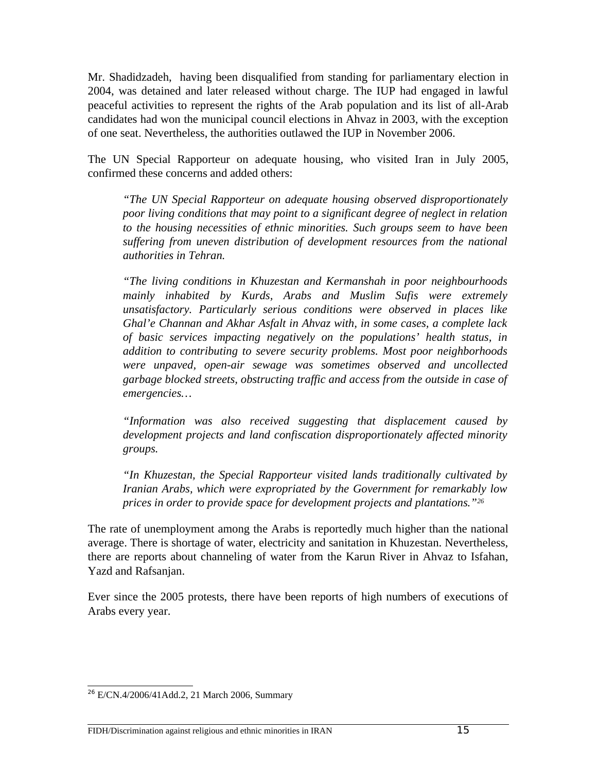Mr. Shadidzadeh, having been disqualified from standing for parliamentary election in 2004, was detained and later released without charge. The IUP had engaged in lawful peaceful activities to represent the rights of the Arab population and its list of all-Arab candidates had won the municipal council elections in Ahvaz in 2003, with the exception of one seat. Nevertheless, the authorities outlawed the IUP in November 2006.

The UN Special Rapporteur on adequate housing, who visited Iran in July 2005, confirmed these concerns and added others:

*"The UN Special Rapporteur on adequate housing observed disproportionately poor living conditions that may point to a significant degree of neglect in relation to the housing necessities of ethnic minorities. Such groups seem to have been suffering from uneven distribution of development resources from the national authorities in Tehran.*

*"The living conditions in Khuzestan and Kermanshah in poor neighbourhoods mainly inhabited by Kurds, Arabs and Muslim Sufis were extremely unsatisfactory. Particularly serious conditions were observed in places like Ghal'e Channan and Akhar Asfalt in Ahvaz with, in some cases, a complete lack of basic services impacting negatively on the populations' health status, in addition to contributing to severe security problems. Most poor neighborhoods were unpaved, open-air sewage was sometimes observed and uncollected garbage blocked streets, obstructing traffic and access from the outside in case of emergencies…*

*"Information was also received suggesting that displacement caused by development projects and land confiscation disproportionately affected minority groups.*

*"In Khuzestan, the Special Rapporteur visited lands traditionally cultivated by Iranian Arabs, which were expropriated by the Government for remarkably low prices in order to provide space for development projects and plantations."[26](#page-14-0)*

The rate of unemployment among the Arabs is reportedly much higher than the national average. There is shortage of water, electricity and sanitation in Khuzestan. Nevertheless, there are reports about channeling of water from the Karun River in Ahvaz to Isfahan, Yazd and Rafsanjan.

Ever since the 2005 protests, there have been reports of high numbers of executions of Arabs every year.

<span id="page-14-0"></span><sup>26</sup> E/CN.4/2006/41Add.2, 21 March 2006, Summary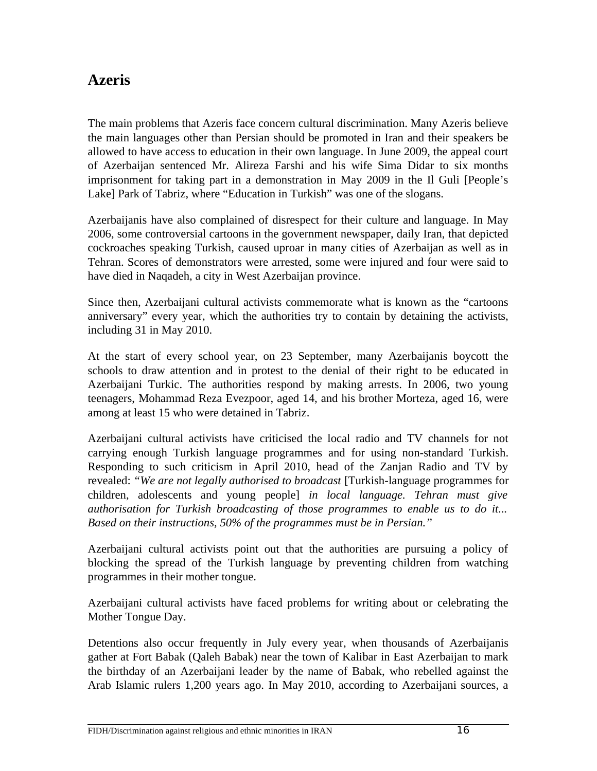# **Azeris**

The main problems that Azeris face concern cultural discrimination. Many Azeris believe the main languages other than Persian should be promoted in Iran and their speakers be allowed to have access to education in their own language. In June 2009, the appeal court of Azerbaijan sentenced Mr. Alireza Farshi and his wife Sima Didar to six months imprisonment for taking part in a demonstration in May 2009 in the Il Guli [People's Lake] Park of Tabriz, where "Education in Turkish" was one of the slogans.

Azerbaijanis have also complained of disrespect for their culture and language. In May 2006, some controversial cartoons in the government newspaper, daily Iran, that depicted cockroaches speaking Turkish, caused uproar in many cities of Azerbaijan as well as in Tehran. Scores of demonstrators were arrested, some were injured and four were said to have died in Naqadeh, a city in West Azerbaijan province.

Since then, Azerbaijani cultural activists commemorate what is known as the "cartoons anniversary" every year, which the authorities try to contain by detaining the activists, including 31 in May 2010.

At the start of every school year, on 23 September, many Azerbaijanis boycott the schools to draw attention and in protest to the denial of their right to be educated in Azerbaijani Turkic. The authorities respond by making arrests. In 2006, two young teenagers, Mohammad Reza Evezpoor, aged 14, and his brother Morteza, aged 16, were among at least 15 who were detained in Tabriz.

Azerbaijani cultural activists have criticised the local radio and TV channels for not carrying enough Turkish language programmes and for using non-standard Turkish. Responding to such criticism in April 2010, head of the Zanjan Radio and TV by revealed: *"We are not legally authorised to broadcast* [Turkish-language programmes for children, adolescents and young people] *in local language. Tehran must give authorisation for Turkish broadcasting of those programmes to enable us to do it... Based on their instructions, 50% of the programmes must be in Persian."* 

Azerbaijani cultural activists point out that the authorities are pursuing a policy of blocking the spread of the Turkish language by preventing children from watching programmes in their mother tongue.

Azerbaijani cultural activists have faced problems for writing about or celebrating the Mother Tongue Day.

Detentions also occur frequently in July every year, when thousands of Azerbaijanis gather at Fort Babak (Qaleh Babak) near the town of Kalibar in East Azerbaijan to mark the birthday of an Azerbaijani leader by the name of Babak, who rebelled against the Arab Islamic rulers 1,200 years ago. In May 2010, according to Azerbaijani sources, a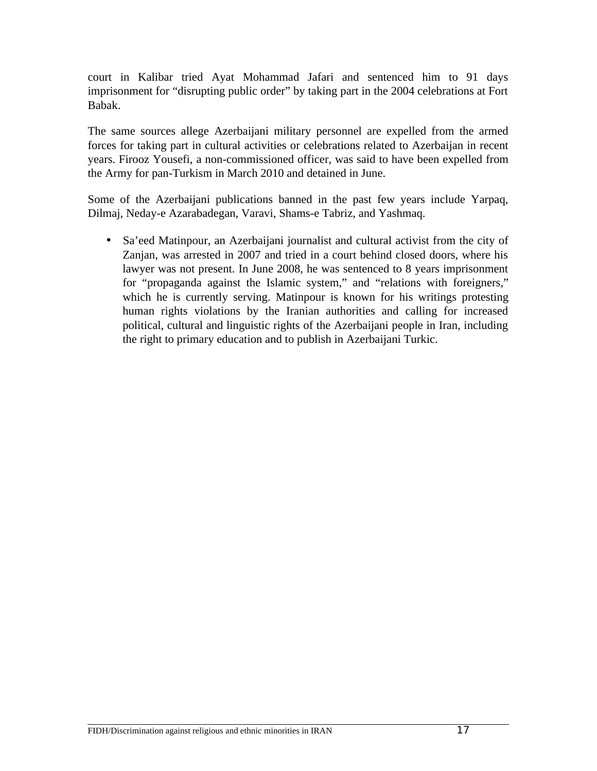court in Kalibar tried Ayat Mohammad Jafari and sentenced him to 91 days imprisonment for "disrupting public order" by taking part in the 2004 celebrations at Fort Babak.

The same sources allege Azerbaijani military personnel are expelled from the armed forces for taking part in cultural activities or celebrations related to Azerbaijan in recent years. Firooz Yousefi, a non-commissioned officer, was said to have been expelled from the Army for pan-Turkism in March 2010 and detained in June.

Some of the Azerbaijani publications banned in the past few years include Yarpaq, Dilmaj, Neday-e Azarabadegan, Varavi, Shams-e Tabriz, and Yashmaq.

• Sa'eed Matinpour, an Azerbaijani journalist and cultural activist from the city of Zanjan, was arrested in 2007 and tried in a court behind closed doors, where his lawyer was not present. In June 2008, he was sentenced to 8 years imprisonment for "propaganda against the Islamic system," and "relations with foreigners," which he is currently serving. Matinpour is known for his writings protesting human rights violations by the Iranian authorities and calling for increased political, cultural and linguistic rights of the Azerbaijani people in Iran, including the right to primary education and to publish in Azerbaijani Turkic.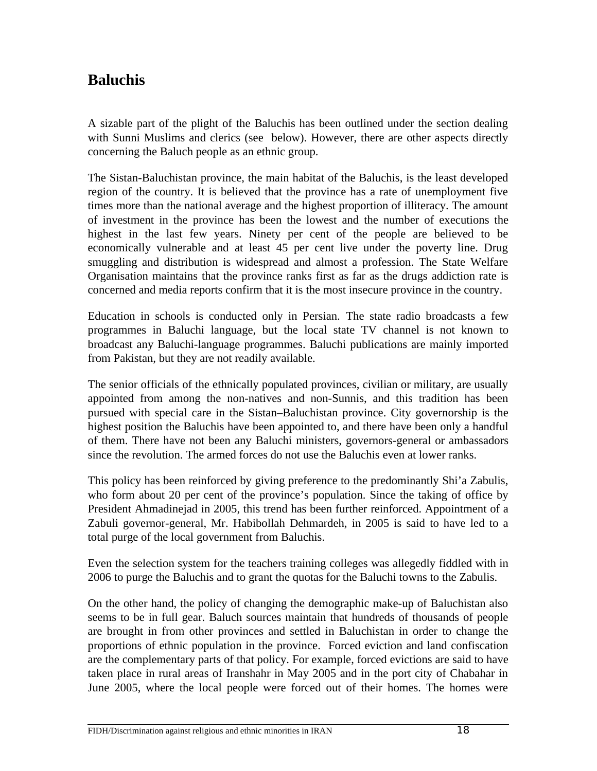# **Baluchis**

A sizable part of the plight of the Baluchis has been outlined under the section dealing with Sunni Muslims and clerics (see below). However, there are other aspects directly concerning the Baluch people as an ethnic group.

The Sistan-Baluchistan province, the main habitat of the Baluchis, is the least developed region of the country. It is believed that the province has a rate of unemployment five times more than the national average and the highest proportion of illiteracy. The amount of investment in the province has been the lowest and the number of executions the highest in the last few years. Ninety per cent of the people are believed to be economically vulnerable and at least 45 per cent live under the poverty line. Drug smuggling and distribution is widespread and almost a profession. The State Welfare Organisation maintains that the province ranks first as far as the drugs addiction rate is concerned and media reports confirm that it is the most insecure province in the country.

Education in schools is conducted only in Persian. The state radio broadcasts a few programmes in Baluchi language, but the local state TV channel is not known to broadcast any Baluchi-language programmes. Baluchi publications are mainly imported from Pakistan, but they are not readily available.

The senior officials of the ethnically populated provinces, civilian or military, are usually appointed from among the non-natives and non-Sunnis, and this tradition has been pursued with special care in the Sistan–Baluchistan province. City governorship is the highest position the Baluchis have been appointed to, and there have been only a handful of them. There have not been any Baluchi ministers, governors-general or ambassadors since the revolution. The armed forces do not use the Baluchis even at lower ranks.

This policy has been reinforced by giving preference to the predominantly Shi'a Zabulis, who form about 20 per cent of the province's population. Since the taking of office by President Ahmadinejad in 2005, this trend has been further reinforced. Appointment of a Zabuli governor-general, Mr. Habibollah Dehmardeh, in 2005 is said to have led to a total purge of the local government from Baluchis.

Even the selection system for the teachers training colleges was allegedly fiddled with in 2006 to purge the Baluchis and to grant the quotas for the Baluchi towns to the Zabulis.

On the other hand, the policy of changing the demographic make-up of Baluchistan also seems to be in full gear. Baluch sources maintain that hundreds of thousands of people are brought in from other provinces and settled in Baluchistan in order to change the proportions of ethnic population in the province. Forced eviction and land confiscation are the complementary parts of that policy. For example, forced evictions are said to have taken place in rural areas of Iranshahr in May 2005 and in the port city of Chabahar in June 2005, where the local people were forced out of their homes. The homes were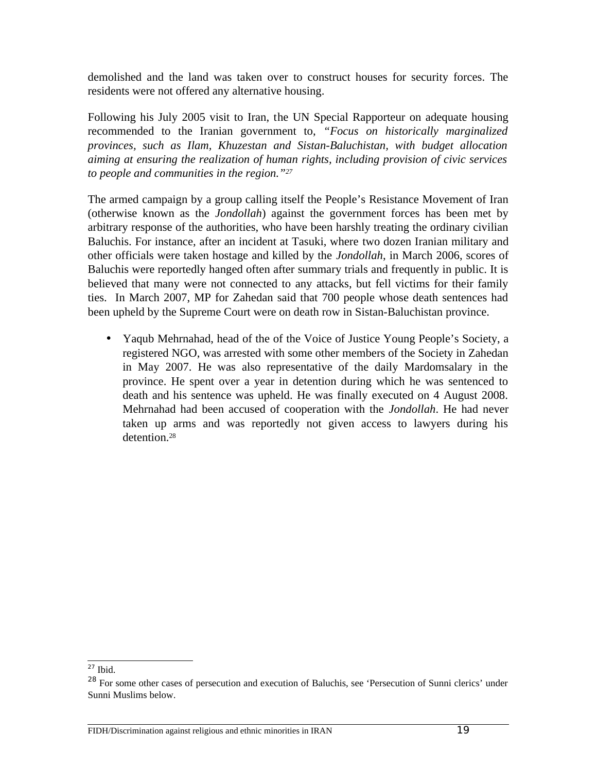demolished and the land was taken over to construct houses for security forces. The residents were not offered any alternative housing.

Following his July 2005 visit to Iran, the UN Special Rapporteur on adequate housing recommended to the Iranian government to, *"Focus on historically marginalized provinces, such as Ilam, Khuzestan and Sistan-Baluchistan, with budget allocation aiming at ensuring the realization of human rights, including provision of civic services to people and communities in the region."[27](#page-18-0)*

The armed campaign by a group calling itself the People's Resistance Movement of Iran (otherwise known as the *Jondollah*) against the government forces has been met by arbitrary response of the authorities, who have been harshly treating the ordinary civilian Baluchis. For instance, after an incident at Tasuki, where two dozen Iranian military and other officials were taken hostage and killed by the *Jondollah*, in March 2006, scores of Baluchis were reportedly hanged often after summary trials and frequently in public. It is believed that many were not connected to any attacks, but fell victims for their family ties. In March 2007, MP for Zahedan said that 700 people whose death sentences had been upheld by the Supreme Court were on death row in Sistan-Baluchistan province.

• Yaqub Mehrnahad, head of the of the Voice of Justice Young People's Society, a registered NGO, was arrested with some other members of the Society in Zahedan in May 2007. He was also representative of the daily Mardomsalary in the province. He spent over a year in detention during which he was sentenced to death and his sentence was upheld. He was finally executed on 4 August 2008. Mehrnahad had been accused of cooperation with the *Jondollah*. He had never taken up arms and was reportedly not given access to lawyers during his detention<sup>[28](#page-18-1)</sup>

<span id="page-18-0"></span> $\overline{^{27}}$  Ibid.

<span id="page-18-1"></span><sup>&</sup>lt;sup>28</sup> For some other cases of persecution and execution of Baluchis, see 'Persecution of Sunni clerics' under Sunni Muslims below.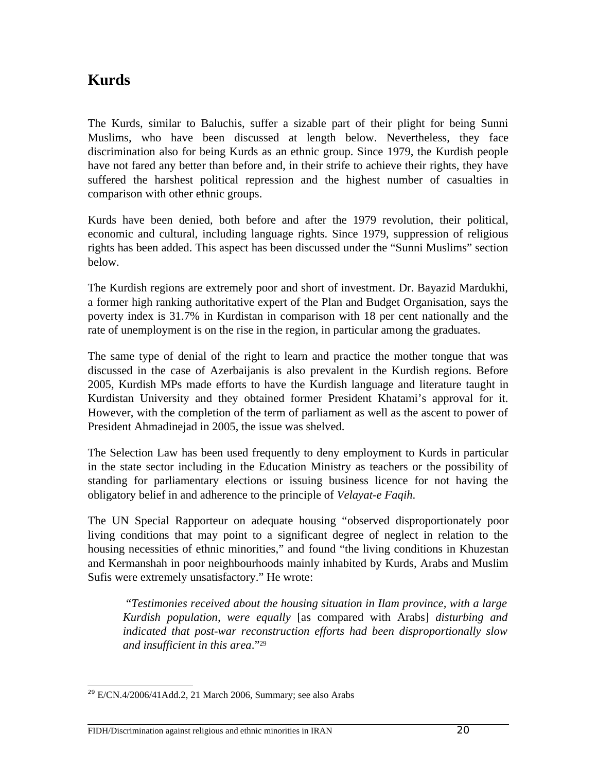# **Kurds**

The Kurds, similar to Baluchis, suffer a sizable part of their plight for being Sunni Muslims, who have been discussed at length below. Nevertheless, they face discrimination also for being Kurds as an ethnic group. Since 1979, the Kurdish people have not fared any better than before and, in their strife to achieve their rights, they have suffered the harshest political repression and the highest number of casualties in comparison with other ethnic groups.

Kurds have been denied, both before and after the 1979 revolution, their political, economic and cultural, including language rights. Since 1979, suppression of religious rights has been added. This aspect has been discussed under the "Sunni Muslims" section below.

The Kurdish regions are extremely poor and short of investment. Dr. Bayazid Mardukhi, a former high ranking authoritative expert of the Plan and Budget Organisation, says the poverty index is 31.7% in Kurdistan in comparison with 18 per cent nationally and the rate of unemployment is on the rise in the region, in particular among the graduates.

The same type of denial of the right to learn and practice the mother tongue that was discussed in the case of Azerbaijanis is also prevalent in the Kurdish regions. Before 2005, Kurdish MPs made efforts to have the Kurdish language and literature taught in Kurdistan University and they obtained former President Khatami's approval for it. However, with the completion of the term of parliament as well as the ascent to power of President Ahmadinejad in 2005, the issue was shelved.

The Selection Law has been used frequently to deny employment to Kurds in particular in the state sector including in the Education Ministry as teachers or the possibility of standing for parliamentary elections or issuing business licence for not having the obligatory belief in and adherence to the principle of *Velayat-e Faqih*.

The UN Special Rapporteur on adequate housing "observed disproportionately poor living conditions that may point to a significant degree of neglect in relation to the housing necessities of ethnic minorities," and found "the living conditions in Khuzestan and Kermanshah in poor neighbourhoods mainly inhabited by Kurds, Arabs and Muslim Sufis were extremely unsatisfactory." He wrote:

 "*Testimonies received about the housing situation in Ilam province, with a large Kurdish population, were equally* [as compared with Arabs] *disturbing and indicated that post-war reconstruction efforts had been disproportionally slow and insufficient in this area*."[29](#page-19-0)

<span id="page-19-0"></span><sup>29</sup> E/CN.4/2006/41Add.2, 21 March 2006, Summary; see also Arabs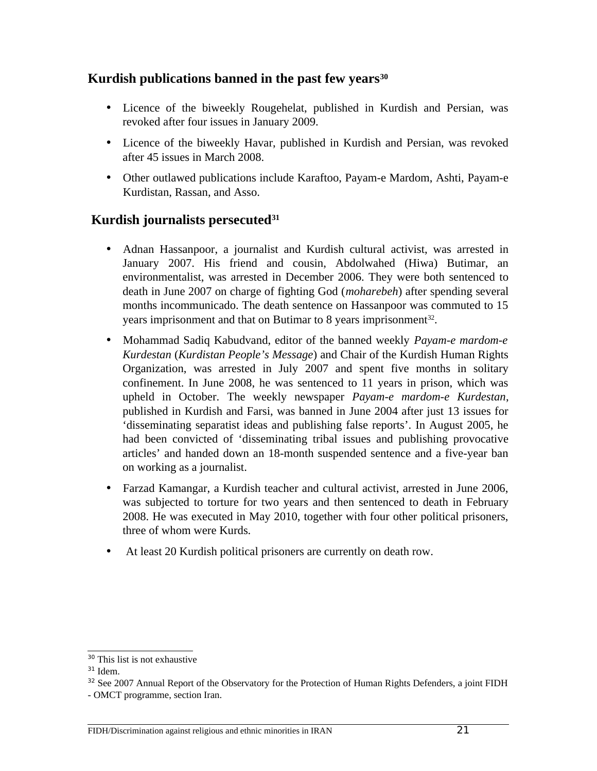#### **Kurdish publications banned in the past few years[30](#page-20-0)**

- Licence of the biweekly Rougehelat, published in Kurdish and Persian, was revoked after four issues in January 2009.
- Licence of the biweekly Havar, published in Kurdish and Persian, was revoked after 45 issues in March 2008.
- Other outlawed publications include Karaftoo, Payam-e Mardom, Ashti, Payam-e Kurdistan, Rassan, and Asso.

#### **Kurdish journalists persecuted[31](#page-20-1)**

- Adnan Hassanpoor, a journalist and Kurdish cultural activist, was arrested in January 2007. His friend and cousin, Abdolwahed (Hiwa) Butimar, an environmentalist, was arrested in December 2006. They were both sentenced to death in June 2007 on charge of fighting God (*moharebeh*) after spending several months incommunicado. The death sentence on Hassanpoor was commuted to 15 years imprisonment and that on Butimar to 8 years imprisonment<sup>[32](#page-20-2)</sup>.
- Mohammad Sadiq Kabudvand, editor of the banned weekly *Payam-e mardom-e Kurdestan* (*Kurdistan People's Message*) and Chair of the Kurdish Human Rights Organization, was arrested in July 2007 and spent five months in solitary confinement. In June 2008, he was sentenced to 11 years in prison, which was upheld in October. The weekly newspaper *Payam-e mardom-e Kurdestan*, published in Kurdish and Farsi, was banned in June 2004 after just 13 issues for 'disseminating separatist ideas and publishing false reports'. In August 2005, he had been convicted of 'disseminating tribal issues and publishing provocative articles' and handed down an 18-month suspended sentence and a five-year ban on working as a journalist.
- Farzad Kamangar, a Kurdish teacher and cultural activist, arrested in June 2006, was subjected to torture for two years and then sentenced to death in February 2008. He was executed in May 2010, together with four other political prisoners, three of whom were Kurds.
- At least 20 Kurdish political prisoners are currently on death row.

<span id="page-20-0"></span><sup>30</sup> This list is not exhaustive

<span id="page-20-1"></span> $31$  Idem.

<span id="page-20-2"></span><sup>&</sup>lt;sup>32</sup> See 2007 Annual Report of the Observatory for the Protection of Human Rights Defenders, a joint FIDH

<sup>-</sup> OMCT programme, section Iran.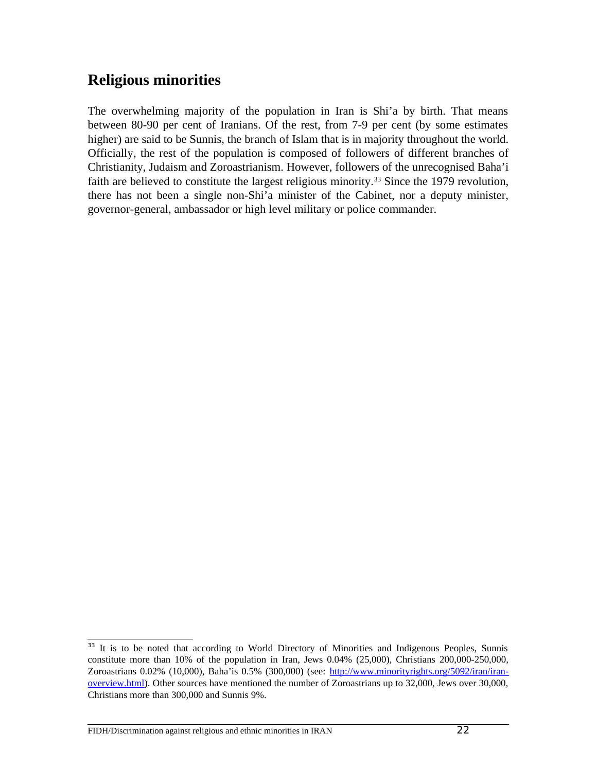# **Religious minorities**

The overwhelming majority of the population in Iran is Shi'a by birth. That means between 80-90 per cent of Iranians. Of the rest, from 7-9 per cent (by some estimates higher) are said to be Sunnis, the branch of Islam that is in majority throughout the world. Officially, the rest of the population is composed of followers of different branches of Christianity, Judaism and Zoroastrianism. However, followers of the unrecognised Baha'i faith are believed to constitute the largest religious minority.<sup>[33](#page-21-0)</sup> Since the 1979 revolution, there has not been a single non-Shi'a minister of the Cabinet, nor a deputy minister, governor-general, ambassador or high level military or police commander.

<span id="page-21-0"></span><sup>&</sup>lt;sup>33</sup> It is to be noted that according to World Directory of Minorities and Indigenous Peoples, Sunnis constitute more than 10% of the population in Iran, Jews 0.04% (25,000), Christians 200,000-250,000, Zoroastrians 0.02% (10,000), Baha'is 0.5% (300,000) (see: [http://www.minorityrights.org/5092/iran/iran](http://www.minorityrights.org/5092/iran/iran-overview.html)[overview.html\)](http://www.minorityrights.org/5092/iran/iran-overview.html). Other sources have mentioned the number of Zoroastrians up to 32,000, Jews over 30,000, Christians more than 300,000 and Sunnis 9%.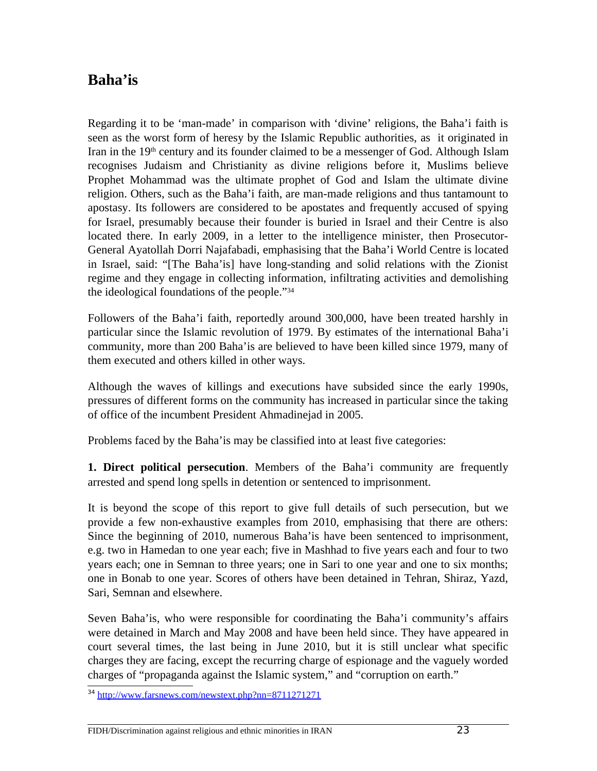### **Baha'is**

Regarding it to be 'man-made' in comparison with 'divine' religions, the Baha'i faith is seen as the worst form of heresy by the Islamic Republic authorities, as it originated in Iran in the 19<sup>th</sup> century and its founder claimed to be a messenger of God. Although Islam recognises Judaism and Christianity as divine religions before it, Muslims believe Prophet Mohammad was the ultimate prophet of God and Islam the ultimate divine religion. Others, such as the Baha'i faith, are man-made religions and thus tantamount to apostasy. Its followers are considered to be apostates and frequently accused of spying for Israel, presumably because their founder is buried in Israel and their Centre is also located there. In early 2009, in a letter to the intelligence minister, then Prosecutor-General Ayatollah Dorri Najafabadi, emphasising that the Baha'i World Centre is located in Israel, said: "[The Baha'is] have long-standing and solid relations with the Zionist regime and they engage in collecting information, infiltrating activities and demolishing the ideological foundations of the people."[34](#page-22-0)

Followers of the Baha'i faith, reportedly around 300,000, have been treated harshly in particular since the Islamic revolution of 1979. By estimates of the international Baha'i community, more than 200 Baha'is are believed to have been killed since 1979, many of them executed and others killed in other ways.

Although the waves of killings and executions have subsided since the early 1990s, pressures of different forms on the community has increased in particular since the taking of office of the incumbent President Ahmadinejad in 2005.

Problems faced by the Baha'is may be classified into at least five categories:

**1. Direct political persecution**. Members of the Baha'i community are frequently arrested and spend long spells in detention or sentenced to imprisonment.

It is beyond the scope of this report to give full details of such persecution, but we provide a few non-exhaustive examples from 2010, emphasising that there are others: Since the beginning of 2010, numerous Baha'is have been sentenced to imprisonment, e.g. two in Hamedan to one year each; five in Mashhad to five years each and four to two years each; one in Semnan to three years; one in Sari to one year and one to six months; one in Bonab to one year. Scores of others have been detained in Tehran, Shiraz, Yazd, Sari, Semnan and elsewhere.

Seven Baha'is, who were responsible for coordinating the Baha'i community's affairs were detained in March and May 2008 and have been held since. They have appeared in court several times, the last being in June 2010, but it is still unclear what specific charges they are facing, except the recurring charge of espionage and the vaguely worded charges of "propaganda against the Islamic system," and "corruption on earth."

<span id="page-22-0"></span><sup>34</sup> <http://www.farsnews.com/newstext.php?nn=8711271271>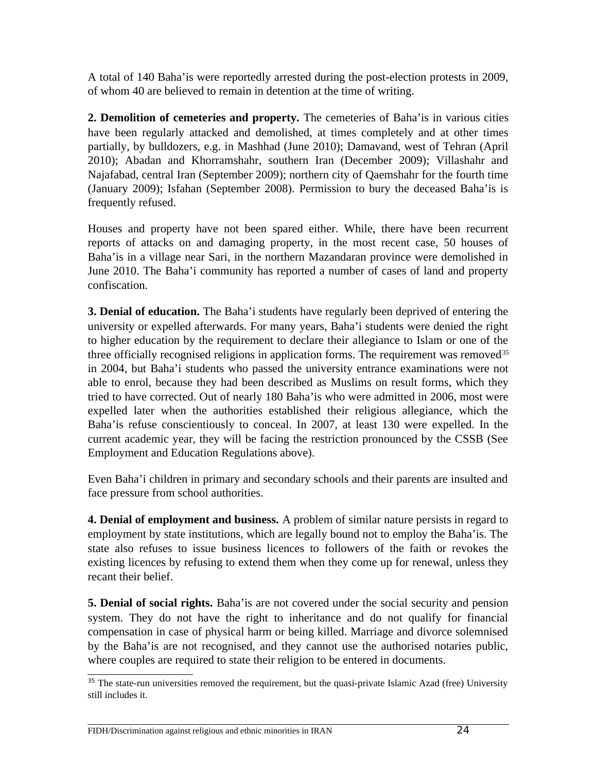A total of 140 Baha'is were reportedly arrested during the post-election protests in 2009, of whom 40 are believed to remain in detention at the time of writing.

**2. Demolition of cemeteries and property.** The cemeteries of Baha'is in various cities have been regularly attacked and demolished, at times completely and at other times partially, by bulldozers, e.g. in Mashhad (June 2010); Damavand, west of Tehran (April 2010); Abadan and Khorramshahr, southern Iran (December 2009); Villashahr and Najafabad, central Iran (September 2009); northern city of Qaemshahr for the fourth time (January 2009); Isfahan (September 2008). Permission to bury the deceased Baha'is is frequently refused.

Houses and property have not been spared either. While, there have been recurrent reports of attacks on and damaging property, in the most recent case, 50 houses of Baha'is in a village near Sari, in the northern Mazandaran province were demolished in June 2010. The Baha'i community has reported a number of cases of land and property confiscation.

**3. Denial of education.** The Baha'i students have regularly been deprived of entering the university or expelled afterwards. For many years, Baha'i students were denied the right to higher education by the requirement to declare their allegiance to Islam or one of the three officially recognised religions in application forms. The requirement was removed<sup>[35](#page-23-0)</sup> in 2004, but Baha'i students who passed the university entrance examinations were not able to enrol, because they had been described as Muslims on result forms, which they tried to have corrected. Out of nearly 180 Baha'is who were admitted in 2006, most were expelled later when the authorities established their religious allegiance, which the Baha'is refuse conscientiously to conceal. In 2007, at least 130 were expelled. In the current academic year, they will be facing the restriction pronounced by the CSSB (See Employment and Education Regulations above).

Even Baha'i children in primary and secondary schools and their parents are insulted and face pressure from school authorities.

**4. Denial of employment and business.** A problem of similar nature persists in regard to employment by state institutions, which are legally bound not to employ the Baha'is. The state also refuses to issue business licences to followers of the faith or revokes the existing licences by refusing to extend them when they come up for renewal, unless they recant their belief.

**5. Denial of social rights.** Baha'is are not covered under the social security and pension system. They do not have the right to inheritance and do not qualify for financial compensation in case of physical harm or being killed. Marriage and divorce solemnised by the Baha'is are not recognised, and they cannot use the authorised notaries public, where couples are required to state their religion to be entered in documents.

<span id="page-23-0"></span><sup>&</sup>lt;sup>35</sup> The state-run universities removed the requirement, but the quasi-private Islamic Azad (free) University still includes it.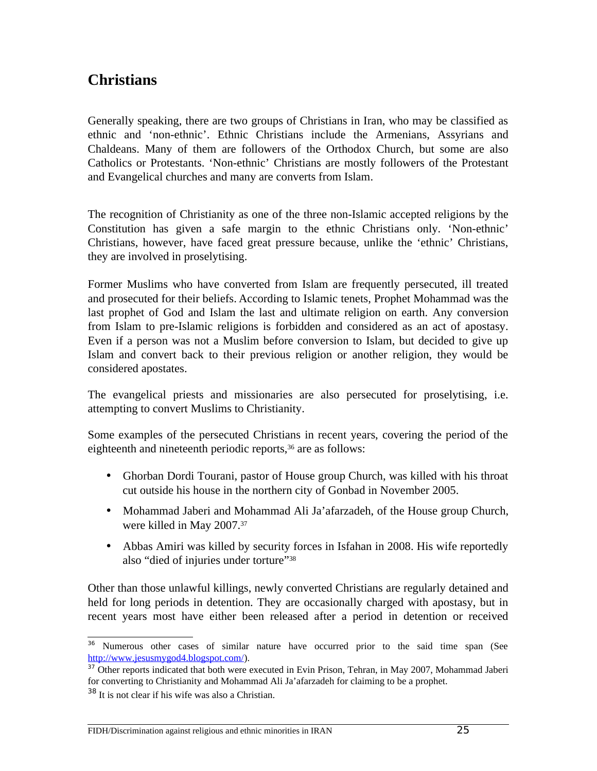### **Christians**

Generally speaking, there are two groups of Christians in Iran, who may be classified as ethnic and 'non-ethnic'. Ethnic Christians include the Armenians, Assyrians and Chaldeans. Many of them are followers of the Orthodox Church, but some are also Catholics or Protestants. 'Non-ethnic' Christians are mostly followers of the Protestant and Evangelical churches and many are converts from Islam.

The recognition of Christianity as one of the three non-Islamic accepted religions by the Constitution has given a safe margin to the ethnic Christians only. 'Non-ethnic' Christians, however, have faced great pressure because, unlike the 'ethnic' Christians, they are involved in proselytising.

Former Muslims who have converted from Islam are frequently persecuted, ill treated and prosecuted for their beliefs. According to Islamic tenets, Prophet Mohammad was the last prophet of God and Islam the last and ultimate religion on earth. Any conversion from Islam to pre-Islamic religions is forbidden and considered as an act of apostasy. Even if a person was not a Muslim before conversion to Islam, but decided to give up Islam and convert back to their previous religion or another religion, they would be considered apostates.

The evangelical priests and missionaries are also persecuted for proselytising, i.e. attempting to convert Muslims to Christianity.

Some examples of the persecuted Christians in recent years, covering the period of the eighteenth and nineteenth periodic reports,<sup>[36](#page-24-0)</sup> are as follows:

- Ghorban Dordi Tourani, pastor of House group Church, was killed with his throat cut outside his house in the northern city of Gonbad in November 2005.
- Mohammad Jaberi and Mohammad Ali Ja'afarzadeh, of the House group Church, were killed in May 2007.[37](#page-24-1)
- Abbas Amiri was killed by security forces in Isfahan in 2008. His wife reportedly also "died of injuries under torture"[38](#page-24-2)

Other than those unlawful killings, newly converted Christians are regularly detained and held for long periods in detention. They are occasionally charged with apostasy, but in recent years most have either been released after a period in detention or received

<span id="page-24-0"></span><sup>&</sup>lt;sup>36</sup> Numerous other cases of similar nature have occurred prior to the said time span (See [http://www.jesusmygod4.blogspot.com/\)](http://www.jesusmygod4.blogspot.com/).

<span id="page-24-1"></span><sup>&</sup>lt;sup>37</sup> Other reports indicated that both were executed in Evin Prison, Tehran, in May 2007, Mohammad Jaberi for converting to Christianity and Mohammad Ali Ja'afarzadeh for claiming to be a prophet.

<span id="page-24-2"></span><sup>38</sup> It is not clear if his wife was also a Christian.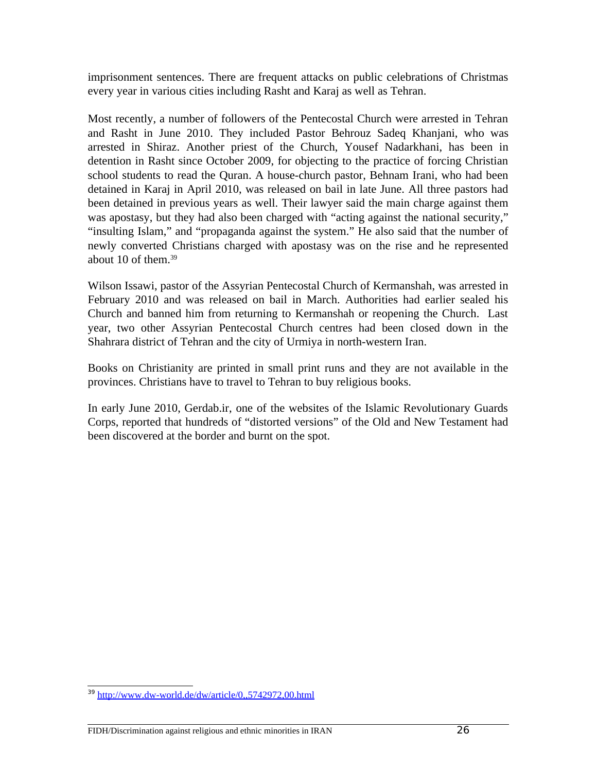imprisonment sentences. There are frequent attacks on public celebrations of Christmas every year in various cities including Rasht and Karaj as well as Tehran.

Most recently, a number of followers of the Pentecostal Church were arrested in Tehran and Rasht in June 2010. They included Pastor Behrouz Sadeq Khanjani, who was arrested in Shiraz. Another priest of the Church, Yousef Nadarkhani, has been in detention in Rasht since October 2009, for objecting to the practice of forcing Christian school students to read the Quran. A house-church pastor, Behnam Irani, who had been detained in Karaj in April 2010, was released on bail in late June. All three pastors had been detained in previous years as well. Their lawyer said the main charge against them was apostasy, but they had also been charged with "acting against the national security," "insulting Islam," and "propaganda against the system." He also said that the number of newly converted Christians charged with apostasy was on the rise and he represented about 10 of them.[39](#page-25-0)

Wilson Issawi, pastor of the Assyrian Pentecostal Church of Kermanshah, was arrested in February 2010 and was released on bail in March. Authorities had earlier sealed his Church and banned him from returning to Kermanshah or reopening the Church. Last year, two other Assyrian Pentecostal Church centres had been closed down in the Shahrara district of Tehran and the city of Urmiya in north-western Iran.

Books on Christianity are printed in small print runs and they are not available in the provinces. Christians have to travel to Tehran to buy religious books.

In early June 2010, Gerdab.ir, one of the websites of the Islamic Revolutionary Guards Corps, reported that hundreds of "distorted versions" of the Old and New Testament had been discovered at the border and burnt on the spot.

<span id="page-25-0"></span><sup>39</sup> <http://www.dw-world.de/dw/article/0,,5742972,00.html>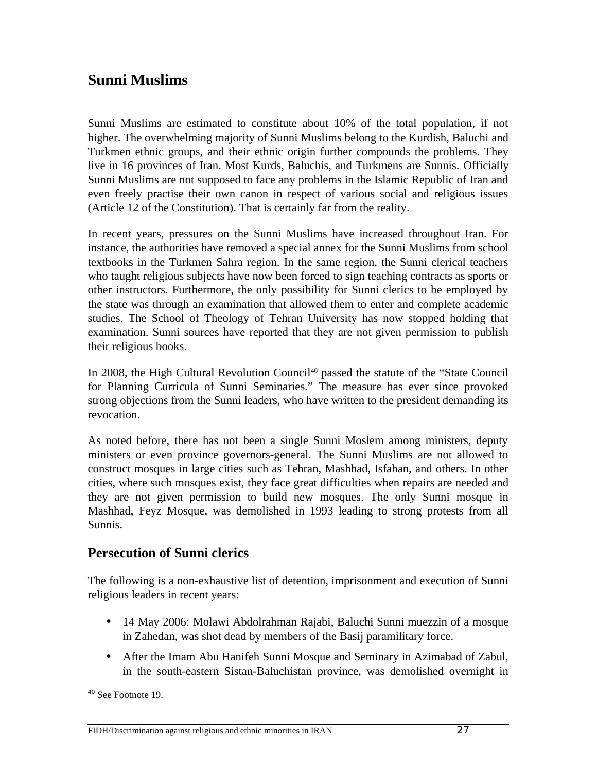### **Sunni Muslims**

Sunni Muslims are estimated to constitute about 10% of the total population, if not higher. The overwhelming majority of Sunni Muslims belong to the Kurdish, Baluchi and Turkmen ethnic groups, and their ethnic origin further compounds the problems. They live in 16 provinces of Iran. Most Kurds, Baluchis, and Turkmens are Sunnis. Officially Sunni Muslims are not supposed to face any problems in the Islamic Republic of Iran and even freely practise their own canon in respect of various social and religious issues (Article 12 of the Constitution). That is certainly far from the reality.

In recent years, pressures on the Sunni Muslims have increased throughout Iran. For instance, the authorities have removed a special annex for the Sunni Muslims from school textbooks in the Turkmen Sahra region. In the same region, the Sunni clerical teachers who taught religious subjects have now been forced to sign teaching contracts as sports or other instructors. Furthermore, the only possibility for Sunni clerics to be employed by the state was through an examination that allowed them to enter and complete academic studies. The School of Theology of Tehran University has now stopped holding that examination. Sunni sources have reported that they are not given permission to publish their religious books.

In 2008, the High Cultural Revolution Council<sup>[40](#page-26-0)</sup> passed the statute of the "State Council" for Planning Curricula of Sunni Seminaries." The measure has ever since provoked strong objections from the Sunni leaders, who have written to the president demanding its revocation.

As noted before, there has not been a single Sunni Moslem among ministers, deputy ministers or even province governors-general. The Sunni Muslims are not allowed to construct mosques in large cities such as Tehran, Mashhad, Isfahan, and others. In other cities, where such mosques exist, they face great difficulties when repairs are needed and they are not given permission to build new mosques. The only Sunni mosque in Mashhad, Feyz Mosque, was demolished in 1993 leading to strong protests from all Sunnis.

#### **Persecution of Sunni clerics**

The following is a non-exhaustive list of detention, imprisonment and execution of Sunni religious leaders in recent years:

- 14 May 2006: Molawi Abdolrahman Rajabi, Baluchi Sunni muezzin of a mosque in Zahedan, was shot dead by members of the Basij paramilitary force.
- After the Imam Abu Hanifeh Sunni Mosque and Seminary in Azimabad of Zabul, in the south-eastern Sistan-Baluchistan province, was demolished overnight in

<span id="page-26-0"></span><sup>40</sup> See Footnote 19.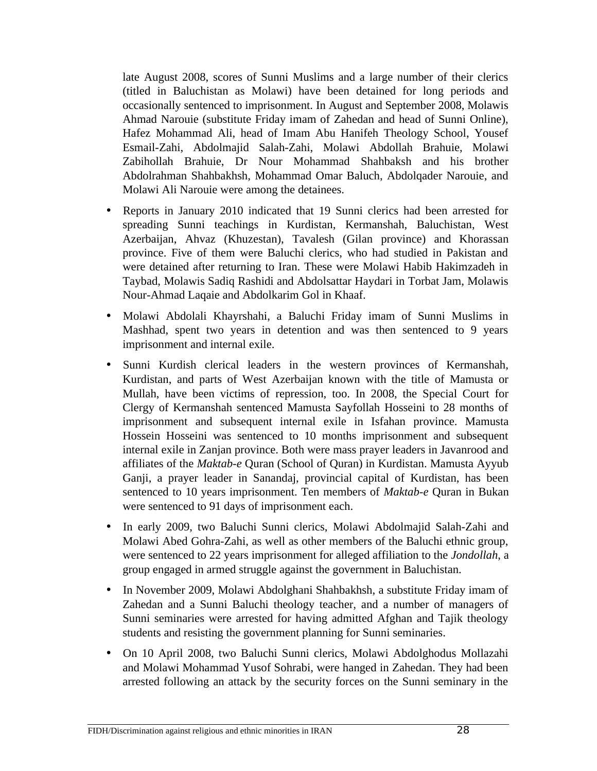late August 2008, scores of Sunni Muslims and a large number of their clerics (titled in Baluchistan as Molawi) have been detained for long periods and occasionally sentenced to imprisonment. In August and September 2008, Molawis Ahmad Narouie (substitute Friday imam of Zahedan and head of Sunni Online), Hafez Mohammad Ali, head of Imam Abu Hanifeh Theology School, Yousef Esmail-Zahi, Abdolmajid Salah-Zahi, Molawi Abdollah Brahuie, Molawi Zabihollah Brahuie, Dr Nour Mohammad Shahbaksh and his brother Abdolrahman Shahbakhsh, Mohammad Omar Baluch, Abdolqader Narouie, and Molawi Ali Narouie were among the detainees.

- Reports in January 2010 indicated that 19 Sunni clerics had been arrested for spreading Sunni teachings in Kurdistan, Kermanshah, Baluchistan, West Azerbaijan, Ahvaz (Khuzestan), Tavalesh (Gilan province) and Khorassan province. Five of them were Baluchi clerics, who had studied in Pakistan and were detained after returning to Iran. These were Molawi Habib Hakimzadeh in Taybad, Molawis Sadiq Rashidi and Abdolsattar Haydari in Torbat Jam, Molawis Nour-Ahmad Laqaie and Abdolkarim Gol in Khaaf.
- Molawi Abdolali Khayrshahi, a Baluchi Friday imam of Sunni Muslims in Mashhad, spent two years in detention and was then sentenced to 9 years imprisonment and internal exile.
- Sunni Kurdish clerical leaders in the western provinces of Kermanshah, Kurdistan, and parts of West Azerbaijan known with the title of Mamusta or Mullah, have been victims of repression, too. In 2008, the Special Court for Clergy of Kermanshah sentenced Mamusta Sayfollah Hosseini to 28 months of imprisonment and subsequent internal exile in Isfahan province. Mamusta Hossein Hosseini was sentenced to 10 months imprisonment and subsequent internal exile in Zanjan province. Both were mass prayer leaders in Javanrood and affiliates of the *Maktab-e* Quran (School of Quran) in Kurdistan. Mamusta Ayyub Ganji, a prayer leader in Sanandaj, provincial capital of Kurdistan, has been sentenced to 10 years imprisonment. Ten members of *Maktab-e* Quran in Bukan were sentenced to 91 days of imprisonment each.
- In early 2009, two Baluchi Sunni clerics, Molawi Abdolmajid Salah-Zahi and Molawi Abed Gohra-Zahi, as well as other members of the Baluchi ethnic group, were sentenced to 22 years imprisonment for alleged affiliation to the *Jondollah*, a group engaged in armed struggle against the government in Baluchistan.
- In November 2009, Molawi Abdolghani Shahbakhsh, a substitute Friday imam of Zahedan and a Sunni Baluchi theology teacher, and a number of managers of Sunni seminaries were arrested for having admitted Afghan and Tajik theology students and resisting the government planning for Sunni seminaries.
- On 10 April 2008, two Baluchi Sunni clerics, Molawi Abdolghodus Mollazahi and Molawi Mohammad Yusof Sohrabi, were hanged in Zahedan. They had been arrested following an attack by the security forces on the Sunni seminary in the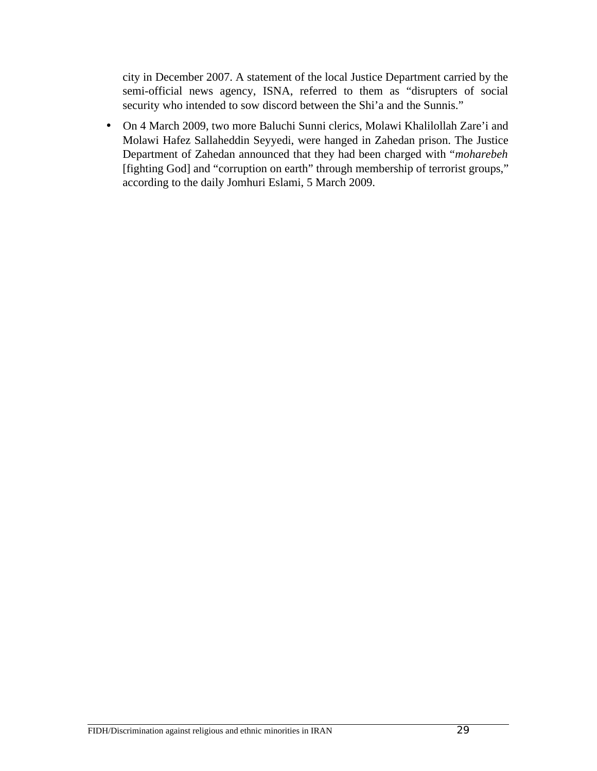city in December 2007. A statement of the local Justice Department carried by the semi-official news agency, ISNA, referred to them as "disrupters of social security who intended to sow discord between the Shi'a and the Sunnis."

• On 4 March 2009, two more Baluchi Sunni clerics, Molawi Khalilollah Zare'i and Molawi Hafez Sallaheddin Seyyedi, were hanged in Zahedan prison. The Justice Department of Zahedan announced that they had been charged with "*moharebeh* [fighting God] and "corruption on earth" through membership of terrorist groups," according to the daily Jomhuri Eslami, 5 March 2009.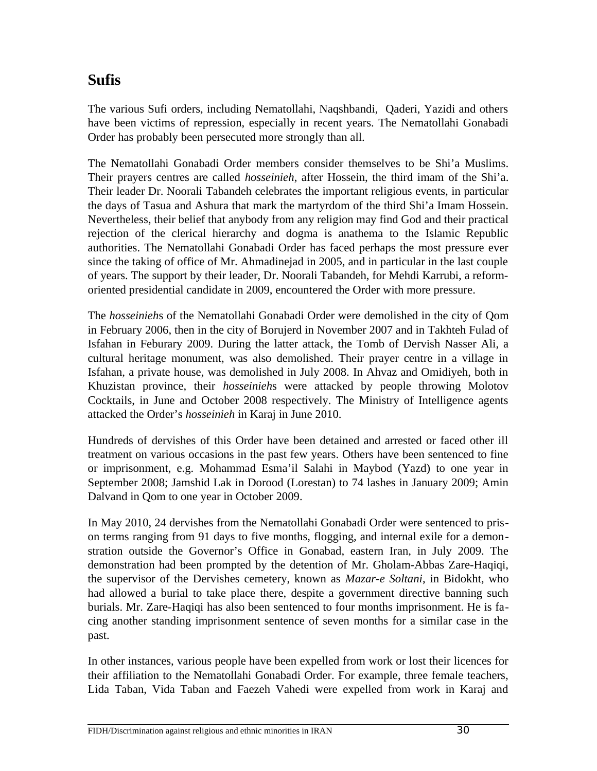# **Sufis**

The various Sufi orders, including Nematollahi, Naqshbandi, Qaderi, Yazidi and others have been victims of repression, especially in recent years. The Nematollahi Gonabadi Order has probably been persecuted more strongly than all.

The Nematollahi Gonabadi Order members consider themselves to be Shi'a Muslims. Their prayers centres are called *hosseinieh*, after Hossein, the third imam of the Shi'a. Their leader Dr. Noorali Tabandeh celebrates the important religious events, in particular the days of Tasua and Ashura that mark the martyrdom of the third Shi'a Imam Hossein. Nevertheless, their belief that anybody from any religion may find God and their practical rejection of the clerical hierarchy and dogma is anathema to the Islamic Republic authorities. The Nematollahi Gonabadi Order has faced perhaps the most pressure ever since the taking of office of Mr. Ahmadinejad in 2005, and in particular in the last couple of years. The support by their leader, Dr. Noorali Tabandeh, for Mehdi Karrubi, a reformoriented presidential candidate in 2009, encountered the Order with more pressure.

The *hosseinieh*s of the Nematollahi Gonabadi Order were demolished in the city of Qom in February 2006, then in the city of Borujerd in November 2007 and in Takhteh Fulad of Isfahan in Feburary 2009. During the latter attack, the Tomb of Dervish Nasser Ali, a cultural heritage monument, was also demolished. Their prayer centre in a village in Isfahan, a private house, was demolished in July 2008. In Ahvaz and Omidiyeh, both in Khuzistan province, their *hosseinieh*s were attacked by people throwing Molotov Cocktails, in June and October 2008 respectively. The Ministry of Intelligence agents attacked the Order's *hosseinieh* in Karaj in June 2010.

Hundreds of dervishes of this Order have been detained and arrested or faced other ill treatment on various occasions in the past few years. Others have been sentenced to fine or imprisonment, e.g. Mohammad Esma'il Salahi in Maybod (Yazd) to one year in September 2008; Jamshid Lak in Dorood (Lorestan) to 74 lashes in January 2009; Amin Dalvand in Qom to one year in October 2009.

In May 2010, 24 dervishes from the Nematollahi Gonabadi Order were sentenced to prison terms ranging from 91 days to five months, flogging, and internal exile for a demonstration outside the Governor's Office in Gonabad, eastern Iran, in July 2009. The demonstration had been prompted by the detention of Mr. Gholam-Abbas Zare-Haqiqi, the supervisor of the Dervishes cemetery, known as *Mazar-e Soltani*, in Bidokht, who had allowed a burial to take place there, despite a government directive banning such burials. Mr. Zare-Haqiqi has also been sentenced to four months imprisonment. He is facing another standing imprisonment sentence of seven months for a similar case in the past.

In other instances, various people have been expelled from work or lost their licences for their affiliation to the Nematollahi Gonabadi Order. For example, three female teachers, Lida Taban, Vida Taban and Faezeh Vahedi were expelled from work in Karaj and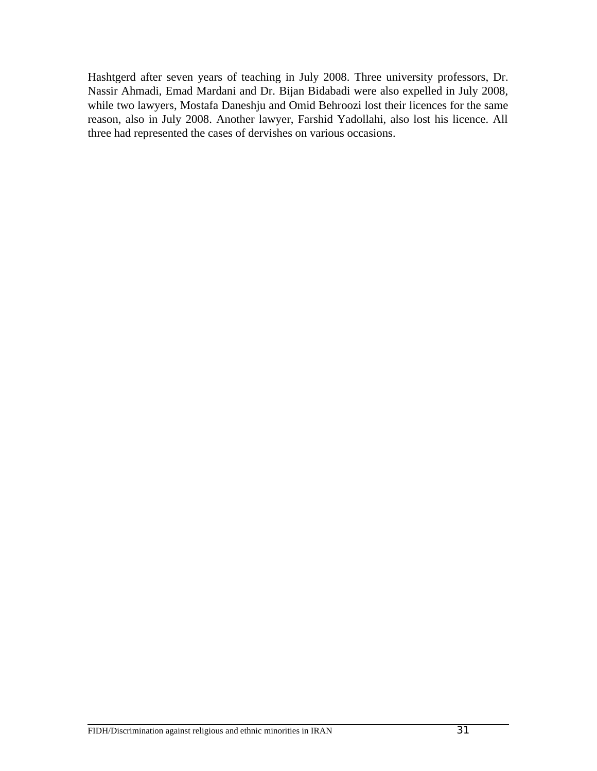Hashtgerd after seven years of teaching in July 2008. Three university professors, Dr. Nassir Ahmadi, Emad Mardani and Dr. Bijan Bidabadi were also expelled in July 2008, while two lawyers, Mostafa Daneshju and Omid Behroozi lost their licences for the same reason, also in July 2008. Another lawyer, Farshid Yadollahi, also lost his licence. All three had represented the cases of dervishes on various occasions.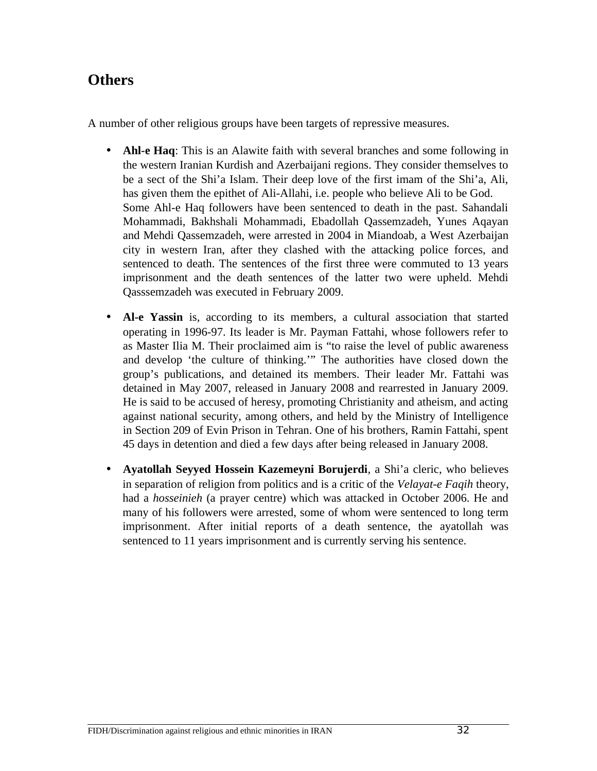## **Others**

A number of other religious groups have been targets of repressive measures.

- **Ahl-e Haq**: This is an Alawite faith with several branches and some following in the western Iranian Kurdish and Azerbaijani regions. They consider themselves to be a sect of the Shi'a Islam. Their deep love of the first imam of the Shi'a, Ali, has given them the epithet of Ali-Allahi, i.e. people who believe Ali to be God. Some Ahl-e Haq followers have been sentenced to death in the past. Sahandali Mohammadi, Bakhshali Mohammadi, Ebadollah Qassemzadeh, Yunes Aqayan and Mehdi Qassemzadeh, were arrested in 2004 in Miandoab, a West Azerbaijan city in western Iran, after they clashed with the attacking police forces, and sentenced to death. The sentences of the first three were commuted to 13 years imprisonment and the death sentences of the latter two were upheld. Mehdi Qasssemzadeh was executed in February 2009.
- **Al-e Yassin** is, according to its members, a cultural association that started operating in 1996-97. Its leader is Mr. Payman Fattahi, whose followers refer to as Master Ilia M. Their proclaimed aim is "to raise the level of public awareness and develop 'the culture of thinking.'" The authorities have closed down the group's publications, and detained its members. Their leader Mr. Fattahi was detained in May 2007, released in January 2008 and rearrested in January 2009. He is said to be accused of heresy, promoting Christianity and atheism, and acting against national security, among others, and held by the Ministry of Intelligence in Section 209 of Evin Prison in Tehran. One of his brothers, Ramin Fattahi, spent 45 days in detention and died a few days after being released in January 2008.
- **Ayatollah Seyyed Hossein Kazemeyni Borujerdi**, a Shi'a cleric, who believes in separation of religion from politics and is a critic of the *Velayat-e Faqih* theory, had a *hosseinieh* (a prayer centre) which was attacked in October 2006. He and many of his followers were arrested, some of whom were sentenced to long term imprisonment. After initial reports of a death sentence, the ayatollah was sentenced to 11 years imprisonment and is currently serving his sentence.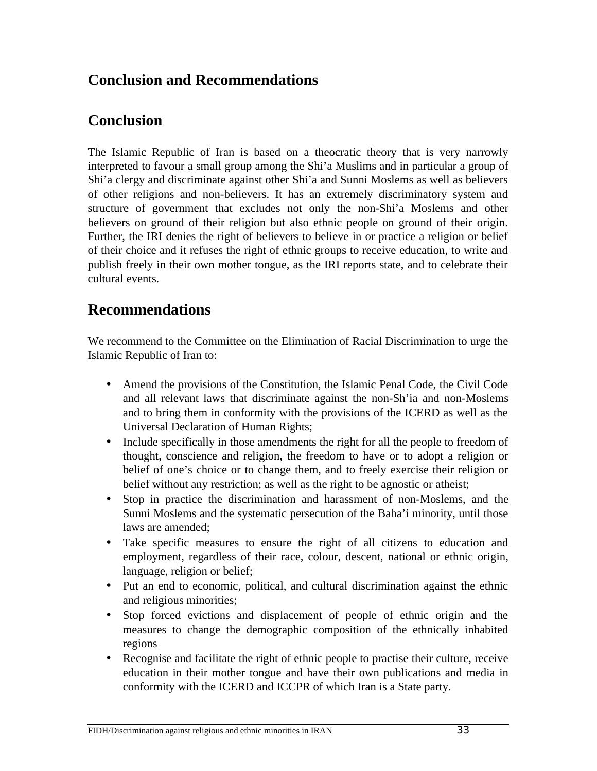# **Conclusion and Recommendations**

### **Conclusion**

The Islamic Republic of Iran is based on a theocratic theory that is very narrowly interpreted to favour a small group among the Shi'a Muslims and in particular a group of Shi'a clergy and discriminate against other Shi'a and Sunni Moslems as well as believers of other religions and non-believers. It has an extremely discriminatory system and structure of government that excludes not only the non-Shi'a Moslems and other believers on ground of their religion but also ethnic people on ground of their origin. Further, the IRI denies the right of believers to believe in or practice a religion or belief of their choice and it refuses the right of ethnic groups to receive education, to write and publish freely in their own mother tongue, as the IRI reports state, and to celebrate their cultural events.

### **Recommendations**

We recommend to the Committee on the Elimination of Racial Discrimination to urge the Islamic Republic of Iran to:

- Amend the provisions of the Constitution, the Islamic Penal Code, the Civil Code and all relevant laws that discriminate against the non-Sh'ia and non-Moslems and to bring them in conformity with the provisions of the ICERD as well as the Universal Declaration of Human Rights;
- Include specifically in those amendments the right for all the people to freedom of thought, conscience and religion, the freedom to have or to adopt a religion or belief of one's choice or to change them, and to freely exercise their religion or belief without any restriction; as well as the right to be agnostic or atheist;
- Stop in practice the discrimination and harassment of non-Moslems, and the Sunni Moslems and the systematic persecution of the Baha'i minority, until those laws are amended;
- Take specific measures to ensure the right of all citizens to education and employment, regardless of their race, colour, descent, national or ethnic origin, language, religion or belief;
- Put an end to economic, political, and cultural discrimination against the ethnic and religious minorities;
- Stop forced evictions and displacement of people of ethnic origin and the measures to change the demographic composition of the ethnically inhabited regions
- Recognise and facilitate the right of ethnic people to practise their culture, receive education in their mother tongue and have their own publications and media in conformity with the ICERD and ICCPR of which Iran is a State party.